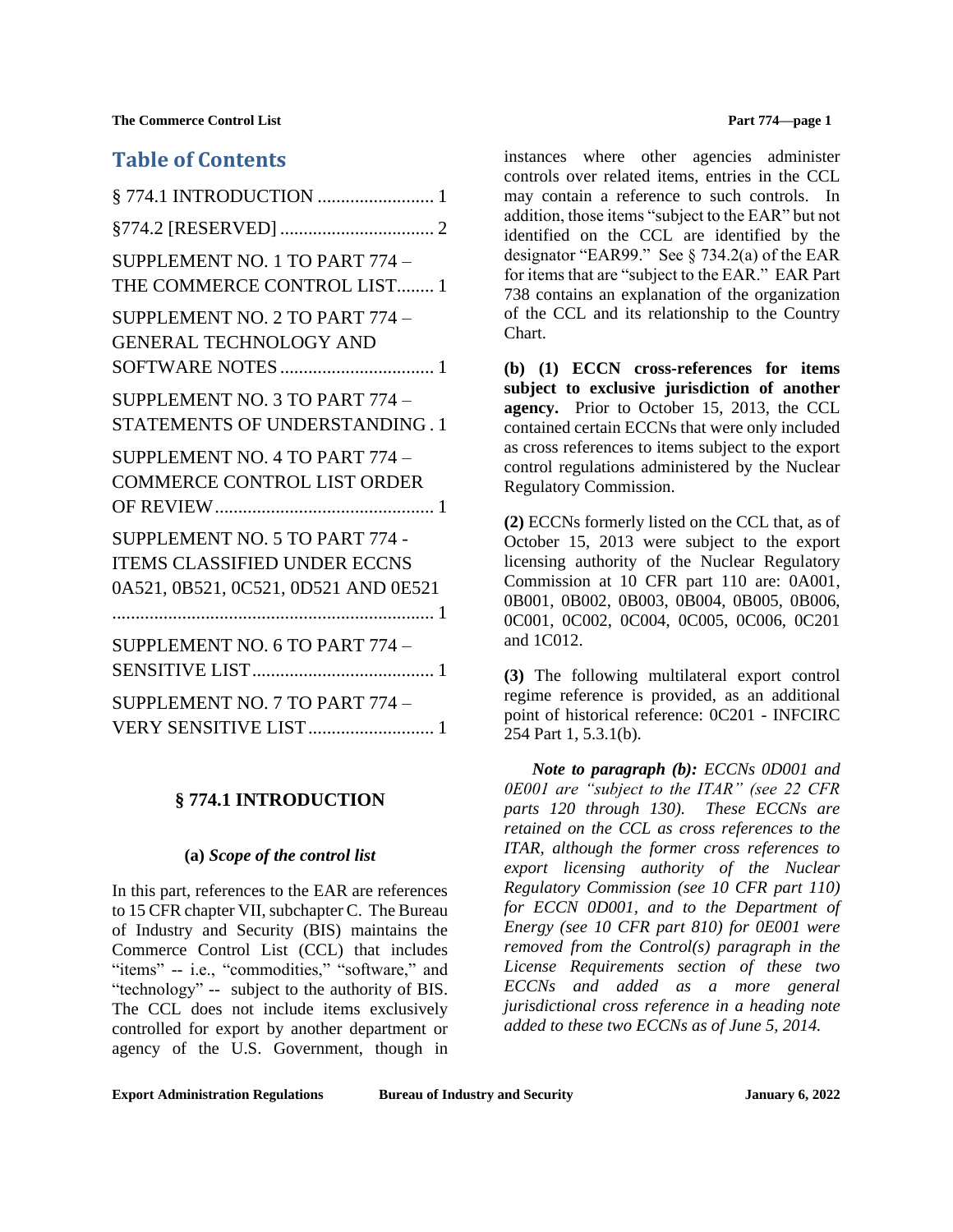**The Commerce Control List 22 September 2016 12:33 Part 774—page 1** 

# **Table of Contents**

| SUPPLEMENT NO. 1 TO PART 774 -<br>THE COMMERCE CONTROL LIST 1                                                 |
|---------------------------------------------------------------------------------------------------------------|
| SUPPLEMENT NO. 2 TO PART 774 -<br><b>GENERAL TECHNOLOGY AND</b>                                               |
| SUPPLEMENT NO. 3 TO PART 774 -<br>STATEMENTS OF UNDERSTANDING. 1                                              |
| SUPPLEMENT NO. 4 TO PART 774 -<br><b>COMMERCE CONTROL LIST ORDER</b>                                          |
| SUPPLEMENT NO. 5 TO PART 774 -<br><b>ITEMS CLASSIFIED UNDER ECCNS</b><br>0A521, 0B521, 0C521, 0D521 AND 0E521 |
| SUPPLEMENT NO. 6 TO PART 774 -                                                                                |
| SUPPLEMENT NO. 7 TO PART 774 -<br>VERY SENSITIVE LIST 1                                                       |

## <span id="page-0-0"></span>**§ 774.1 INTRODUCTION**

### **(a)** *Scope of the control list*

In this part, references to the EAR are references to 15 CFR chapter VII, subchapter C. The Bureau of Industry and Security (BIS) maintains the Commerce Control List (CCL) that includes "items" -- i.e., "commodities," "software," and "technology" -- subject to the authority of BIS. The CCL does not include items exclusively controlled for export by another department or agency of the U.S. Government, though in

instances where other agencies administer controls over related items, entries in the CCL may contain a reference to such controls. In addition, those items "subject to the EAR" but not identified on the CCL are identified by the designator "EAR99." See § 734.2(a) of the EAR for items that are "subject to the EAR." EAR Part 738 contains an explanation of the organization of the CCL and its relationship to the Country Chart.

**(b) (1) ECCN cross-references for items subject to exclusive jurisdiction of another agency.** Prior to October 15, 2013, the CCL contained certain ECCNs that were only included as cross references to items subject to the export control regulations administered by the Nuclear Regulatory Commission.

**(2)** ECCNs formerly listed on the CCL that, as of October 15, 2013 were subject to the export licensing authority of the Nuclear Regulatory Commission at 10 CFR part 110 are: 0A001, 0B001, 0B002, 0B003, 0B004, 0B005, 0B006, 0C001, 0C002, 0C004, 0C005, 0C006, 0C201 and 1C012.

**(3)** The following multilateral export control regime reference is provided, as an additional point of historical reference: 0C201 - INFCIRC 254 Part 1, 5.3.1(b).

*Note to paragraph (b): ECCNs 0D001 and 0E001 are "subject to the ITAR" (see 22 CFR parts 120 through 130). These ECCNs are retained on the CCL as cross references to the ITAR, although the former cross references to export licensing authority of the Nuclear Regulatory Commission (see 10 CFR part 110) for ECCN 0D001, and to the Department of Energy (see 10 CFR part 810) for 0E001 were removed from the Control(s) paragraph in the License Requirements section of these two ECCNs and added as a more general jurisdictional cross reference in a heading note added to these two ECCNs as of June 5, 2014.*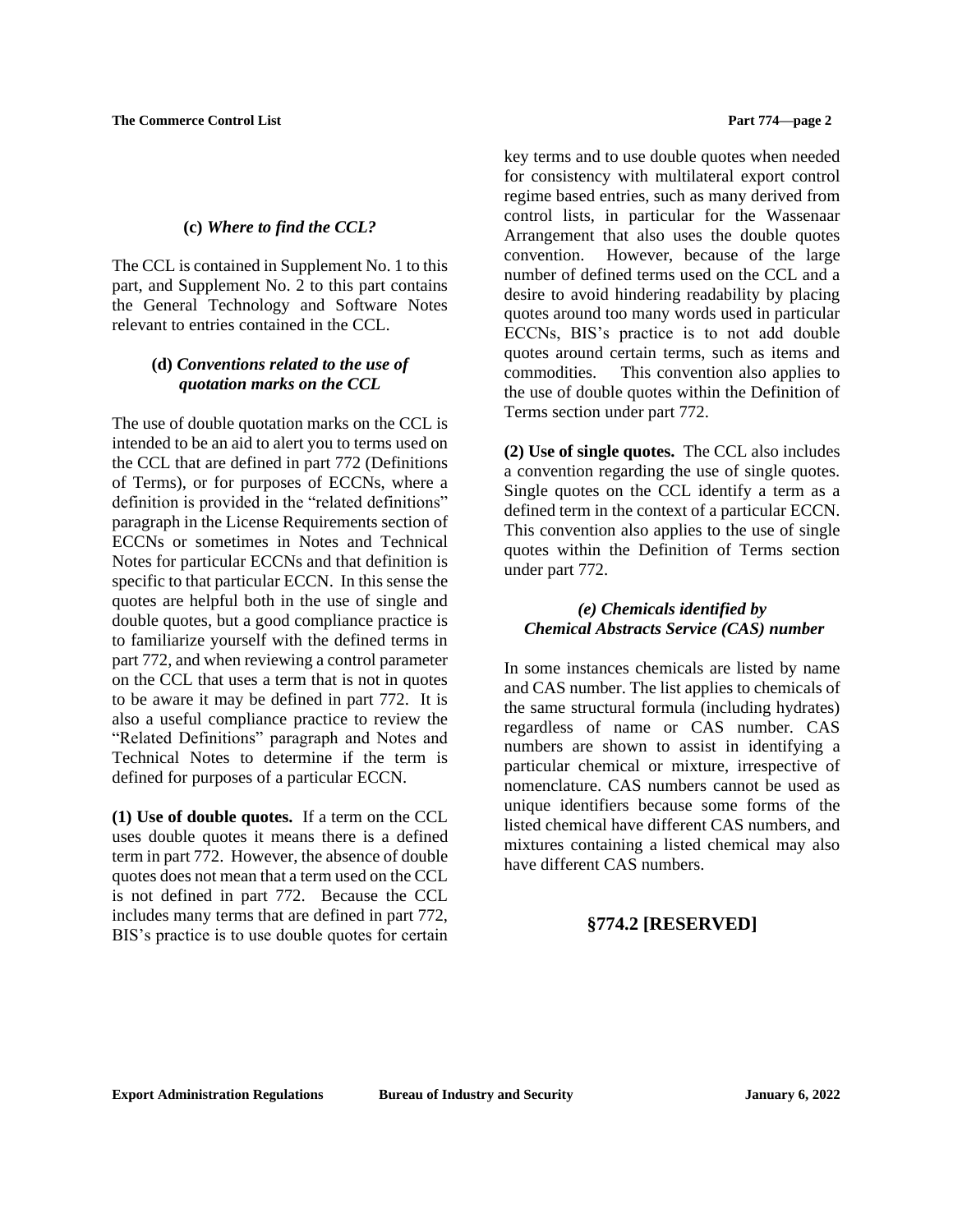### **(c)** *Where to find the CCL?*

The CCL is contained in Supplement No. 1 to this part, and Supplement No. 2 to this part contains the General Technology and Software Notes relevant to entries contained in the CCL.

## **(d)** *Conventions related to the use of quotation marks on the CCL*

The use of double quotation marks on the CCL is intended to be an aid to alert you to terms used on the CCL that are defined in part 772 (Definitions of Terms), or for purposes of ECCNs, where a definition is provided in the "related definitions" paragraph in the License Requirements section of ECCNs or sometimes in Notes and Technical Notes for particular ECCNs and that definition is specific to that particular ECCN. In this sense the quotes are helpful both in the use of single and double quotes, but a good compliance practice is to familiarize yourself with the defined terms in part 772, and when reviewing a control parameter on the CCL that uses a term that is not in quotes to be aware it may be defined in part 772. It is also a useful compliance practice to review the "Related Definitions" paragraph and Notes and Technical Notes to determine if the term is defined for purposes of a particular ECCN.

**(1) Use of double quotes.** If a term on the CCL uses double quotes it means there is a defined term in part 772. However, the absence of double quotes does not mean that a term used on the CCL is not defined in part 772. Because the CCL includes many terms that are defined in part 772, BIS's practice is to use double quotes for certain key terms and to use double quotes when needed for consistency with multilateral export control regime based entries, such as many derived from control lists, in particular for the Wassenaar Arrangement that also uses the double quotes convention. However, because of the large number of defined terms used on the CCL and a desire to avoid hindering readability by placing quotes around too many words used in particular ECCNs, BIS's practice is to not add double quotes around certain terms, such as items and commodities. This convention also applies to the use of double quotes within the Definition of Terms section under part 772.

**(2) Use of single quotes.** The CCL also includes a convention regarding the use of single quotes. Single quotes on the CCL identify a term as a defined term in the context of a particular ECCN. This convention also applies to the use of single quotes within the Definition of Terms section under part 772.

# *(e) Chemicals identified by Chemical Abstracts Service (CAS) number*

In some instances chemicals are listed by name and CAS number. The list applies to chemicals of the same structural formula (including hydrates) regardless of name or CAS number. CAS numbers are shown to assist in identifying a particular chemical or mixture, irrespective of nomenclature. CAS numbers cannot be used as unique identifiers because some forms of the listed chemical have different CAS numbers, and mixtures containing a listed chemical may also have different CAS numbers.

# <span id="page-1-0"></span>**§774.2 [RESERVED]**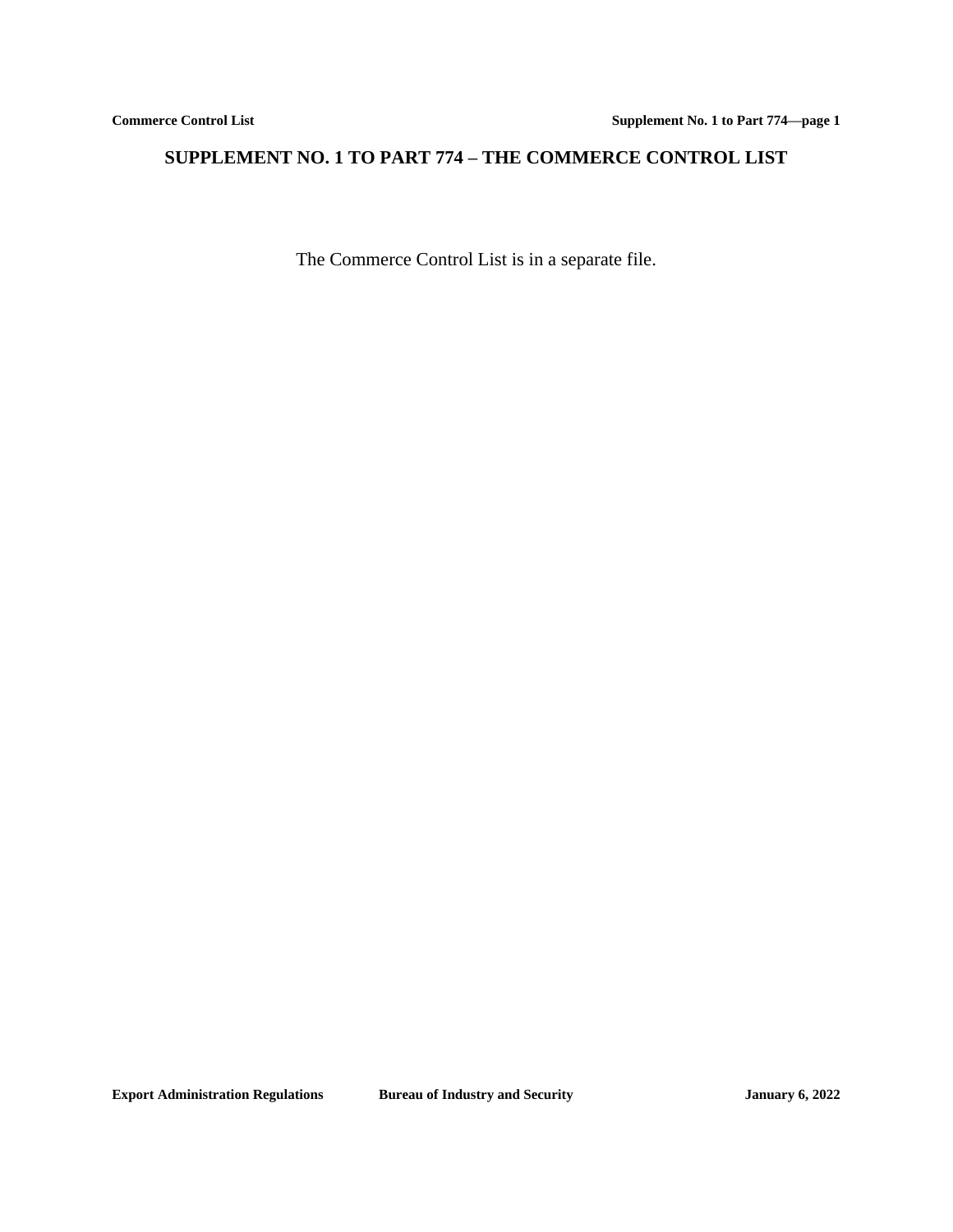# <span id="page-2-0"></span>**SUPPLEMENT NO. 1 TO PART 774 – THE COMMERCE CONTROL LIST**

The Commerce Control List is in a separate file.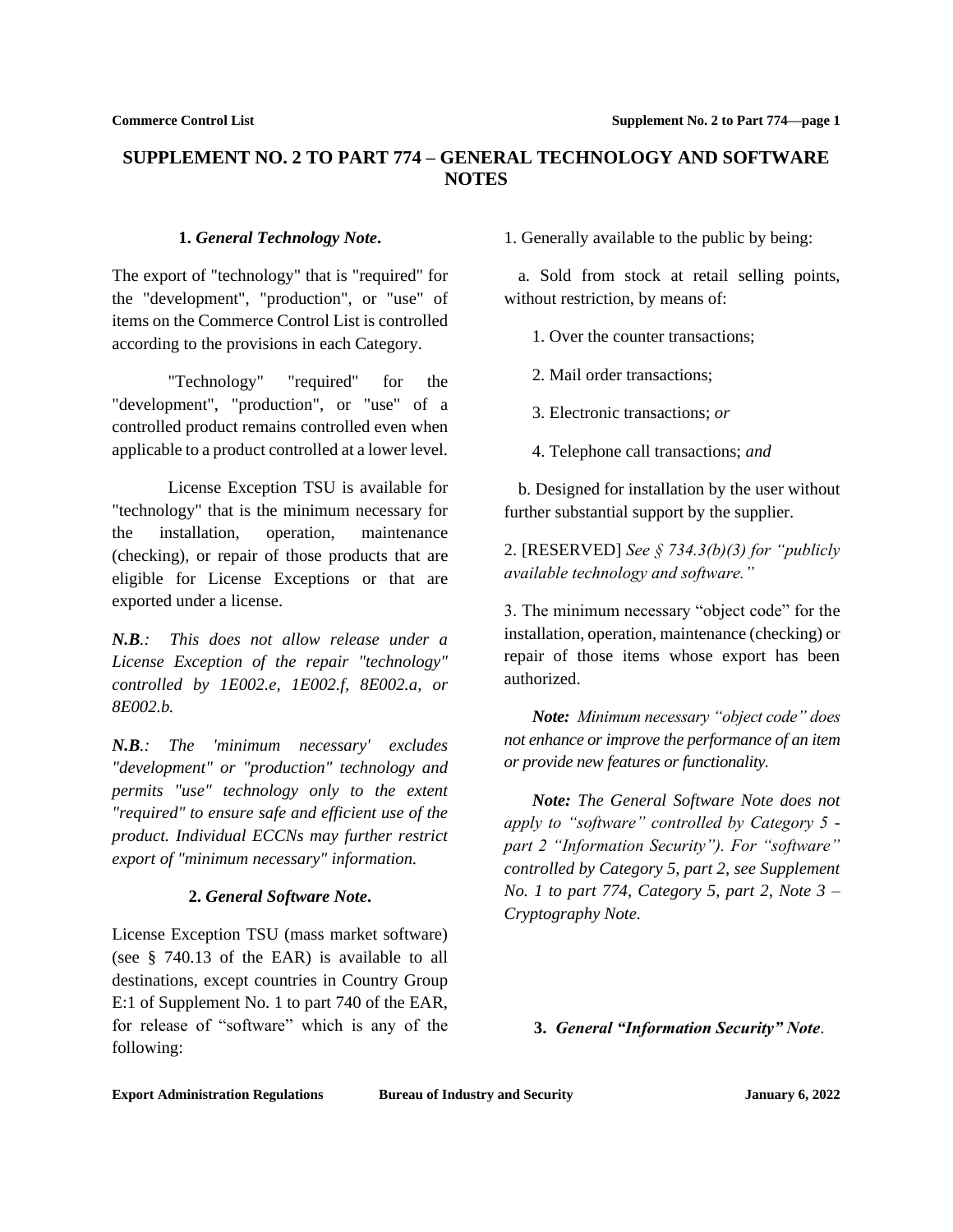# <span id="page-3-0"></span>**SUPPLEMENT NO. 2 TO PART 774 – GENERAL TECHNOLOGY AND SOFTWARE NOTES**

### **1.** *General Technology Note***.**

The export of "technology" that is "required" for the "development", "production", or "use" of items on the Commerce Control List is controlled according to the provisions in each Category.

"Technology" "required" for the "development", "production", or "use" of a controlled product remains controlled even when applicable to a product controlled at a lower level.

License Exception TSU is available for "technology" that is the minimum necessary for the installation, operation, maintenance (checking), or repair of those products that are eligible for License Exceptions or that are exported under a license.

*N.B.: This does not allow release under a License Exception of the repair "technology" controlled by 1E002.e, 1E002.f, 8E002.a, or 8E002.b.*

*N.B.: The 'minimum necessary' excludes "development" or "production" technology and permits "use" technology only to the extent "required" to ensure safe and efficient use of the product. Individual ECCNs may further restrict export of "minimum necessary" information.*

### **2.** *General Software Note***.**

License Exception TSU (mass market software) (see § 740.13 of the EAR) is available to all destinations, except countries in Country Group E:1 of Supplement No. 1 to part 740 of the EAR, for release of "software" which is any of the following:

1. Generally available to the public by being:

a. Sold from stock at retail selling points, without restriction, by means of:

1. Over the counter transactions;

2. Mail order transactions;

3. Electronic transactions; *or*

4. Telephone call transactions; *and*

b. Designed for installation by the user without further substantial support by the supplier.

2. [RESERVED] *See § 734.3(b)(3) for "publicly available technology and software."*

3. The minimum necessary "object code" for the installation, operation, maintenance (checking) or repair of those items whose export has been authorized.

*Note: Minimum necessary "object code" does not enhance or improve the performance of an item or provide new features or functionality.*

*Note: The General Software Note does not apply to "software" controlled by Category 5 part 2 "Information Security"). For "software" controlled by Category 5, part 2, see Supplement No. 1 to part 774, Category 5, part 2, Note 3 – Cryptography Note.*

**3.** *General "Information Security" Note*.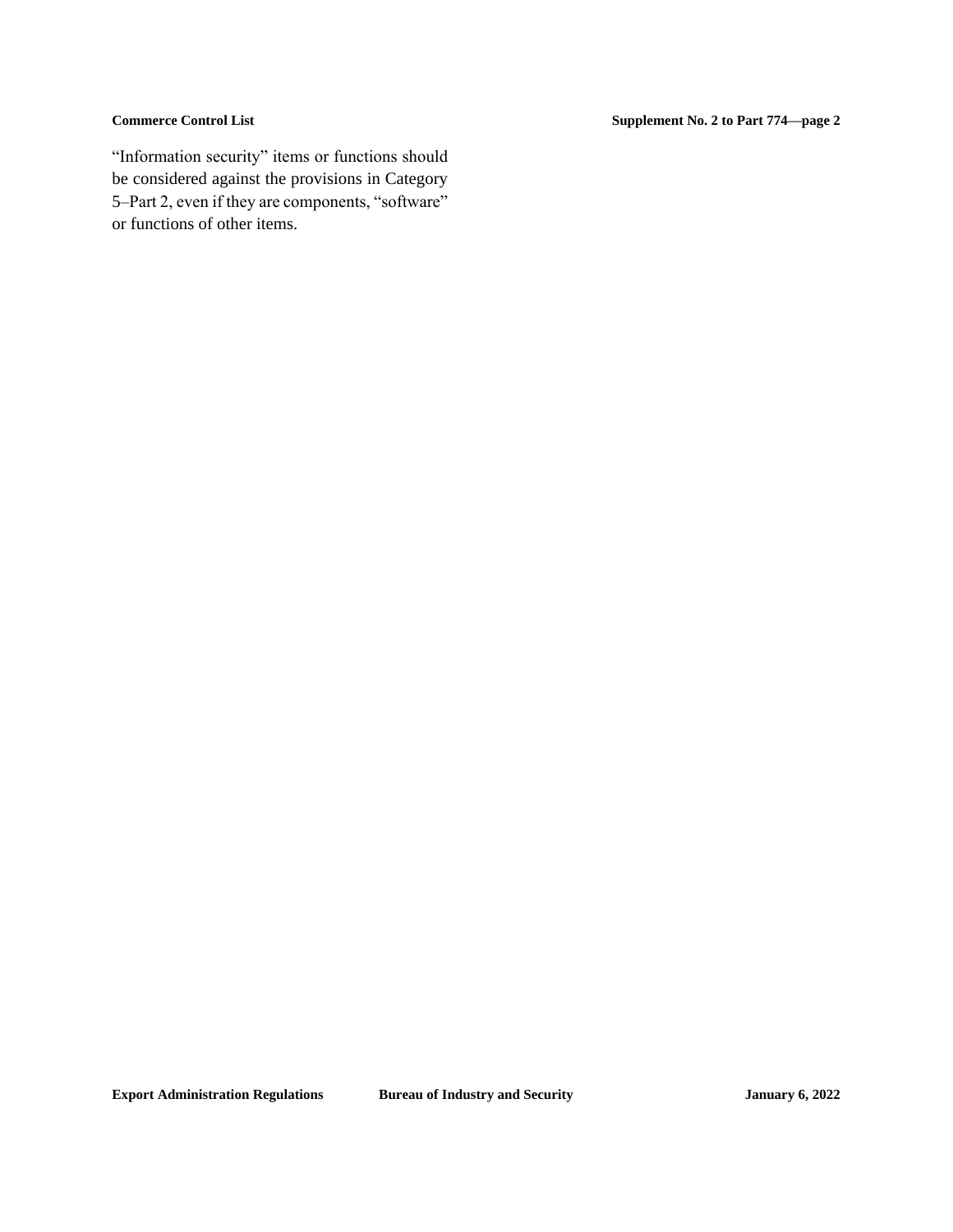"Information security" items or functions should be considered against the provisions in Category 5–Part 2, even if they are components, "software" or functions of other items.

**Commerce Control List Supplement No. 2 to Part 774—page 2**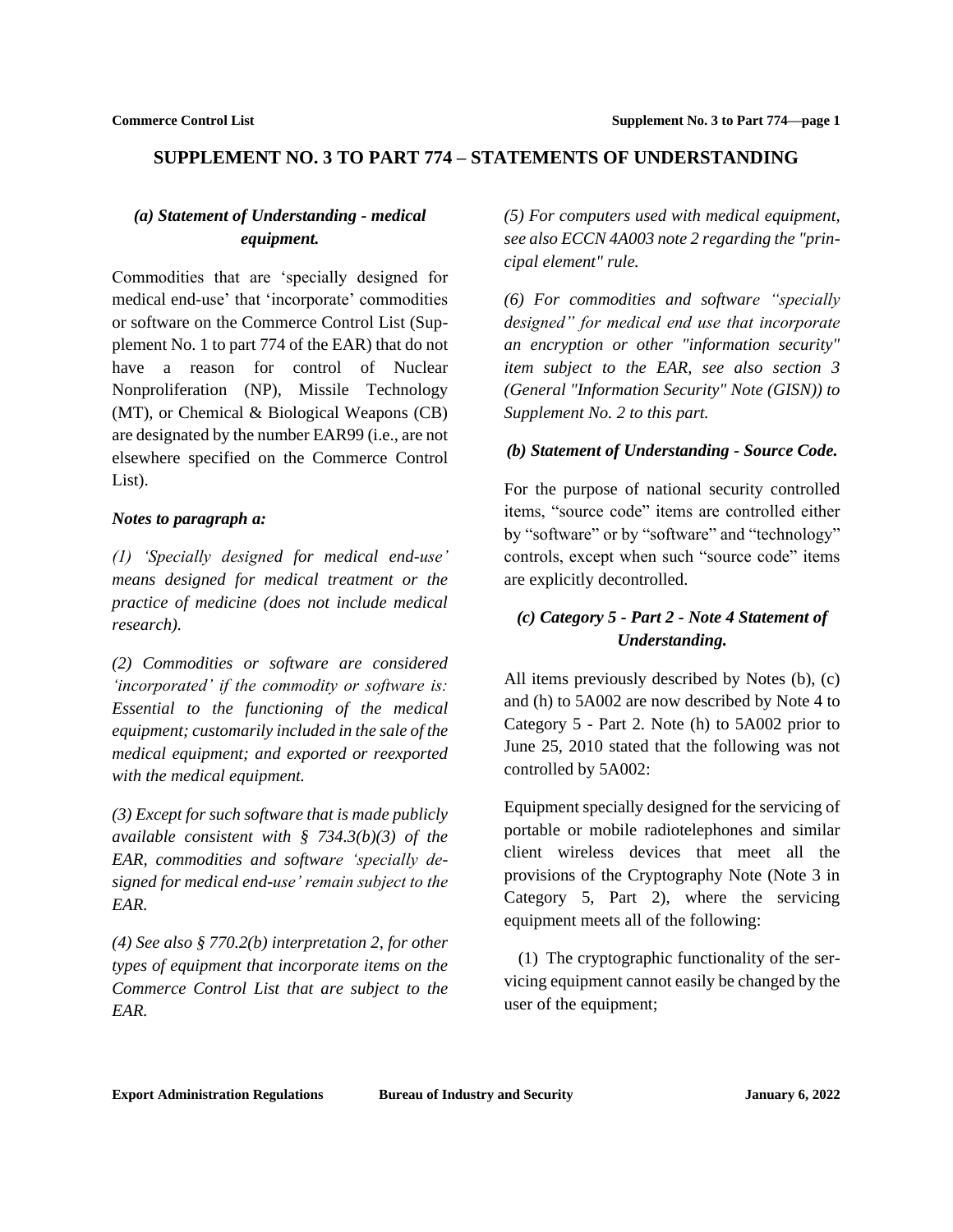# <span id="page-5-0"></span>**SUPPLEMENT NO. 3 TO PART 774 – STATEMENTS OF UNDERSTANDING**

# *(a) Statement of Understanding - medical equipment.*

Commodities that are 'specially designed for medical end-use' that 'incorporate' commodities or software on the Commerce Control List (Supplement No. 1 to part 774 of the EAR) that do not have a reason for control of Nuclear Nonproliferation (NP), Missile Technology (MT), or Chemical & Biological Weapons (CB) are designated by the number EAR99 (i.e., are not elsewhere specified on the Commerce Control List).

## *Notes to paragraph a:*

*(1) 'Specially designed for medical end-use' means designed for medical treatment or the practice of medicine (does not include medical research).*

*(2) Commodities or software are considered 'incorporated' if the commodity or software is: Essential to the functioning of the medical equipment; customarily included in the sale of the medical equipment; and exported or reexported with the medical equipment.*

*(3) Except for such software that is made publicly available consistent with § 734.3(b)(3) of the EAR, commodities and software 'specially designed for medical end-use' remain subject to the EAR.*

*(4) See also § 770.2(b) interpretation 2, for other types of equipment that incorporate items on the Commerce Control List that are subject to the EAR.*

*(5) For computers used with medical equipment, see also ECCN 4A003 note 2 regarding the "principal element" rule.*

*(6) For commodities and software "specially designed" for medical end use that incorporate an encryption or other "information security" item subject to the EAR, see also section 3 (General "Information Security" Note (GISN)) to Supplement No. 2 to this part.* 

# *(b) Statement of Understanding - Source Code.*

For the purpose of national security controlled items, "source code" items are controlled either by "software" or by "software" and "technology" controls, except when such "source code" items are explicitly decontrolled.

# *(c) Category 5 - Part 2 - Note 4 Statement of Understanding.*

All items previously described by Notes (b), (c) and (h) to 5A002 are now described by Note 4 to Category 5 - Part 2. Note (h) to 5A002 prior to June 25, 2010 stated that the following was not controlled by 5A002:

Equipment specially designed for the servicing of portable or mobile radiotelephones and similar client wireless devices that meet all the provisions of the Cryptography Note (Note 3 in Category 5, Part 2), where the servicing equipment meets all of the following:

(1) The cryptographic functionality of the servicing equipment cannot easily be changed by the user of the equipment;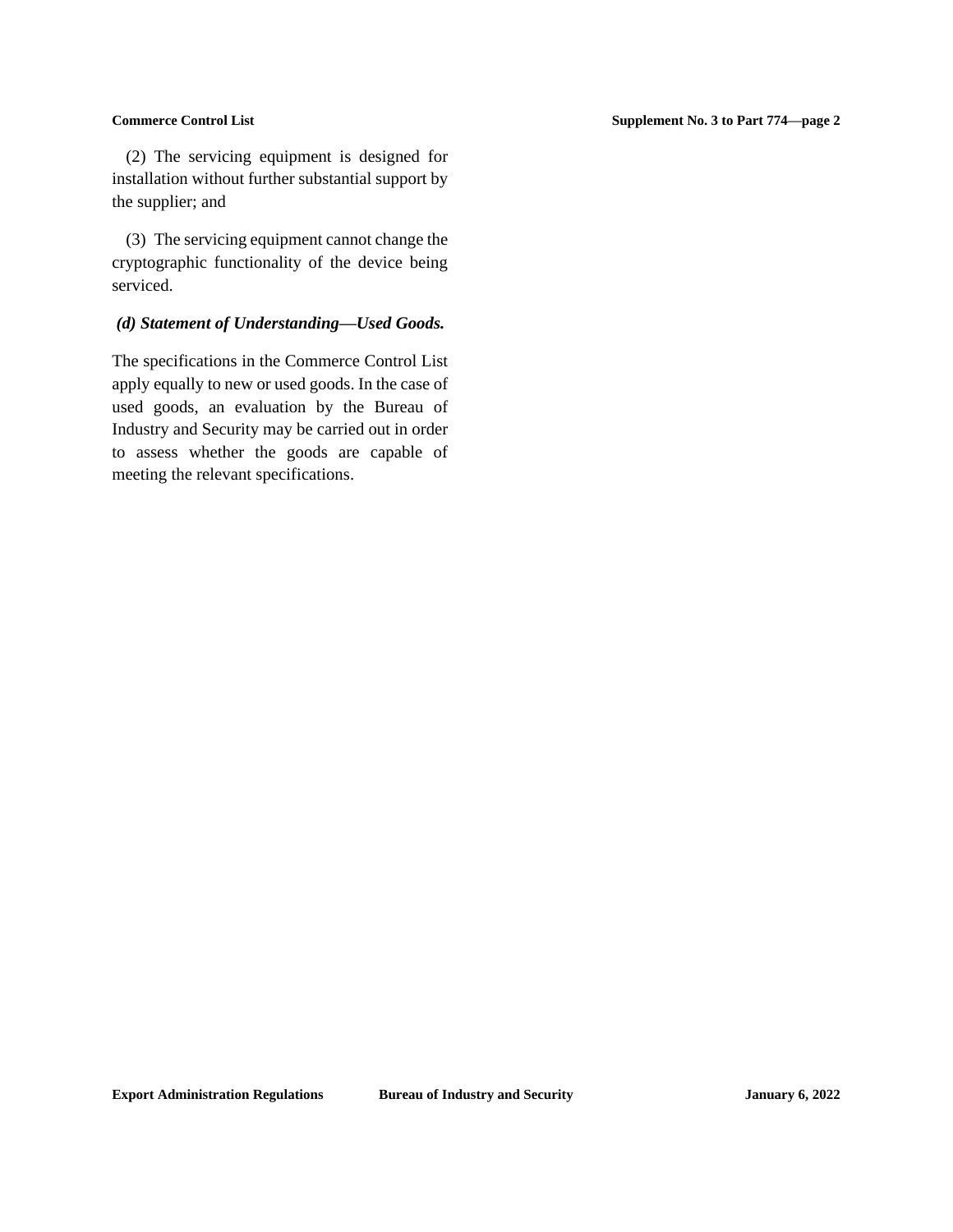(2) The servicing equipment is designed for installation without further substantial support by the supplier; and

(3) The servicing equipment cannot change the cryptographic functionality of the device being serviced.

## *(d) Statement of Understanding—Used Goods.*

The specifications in the Commerce Control List apply equally to new or used goods. In the case of used goods, an evaluation by the Bureau of Industry and Security may be carried out in order to assess whether the goods are capable of meeting the relevant specifications.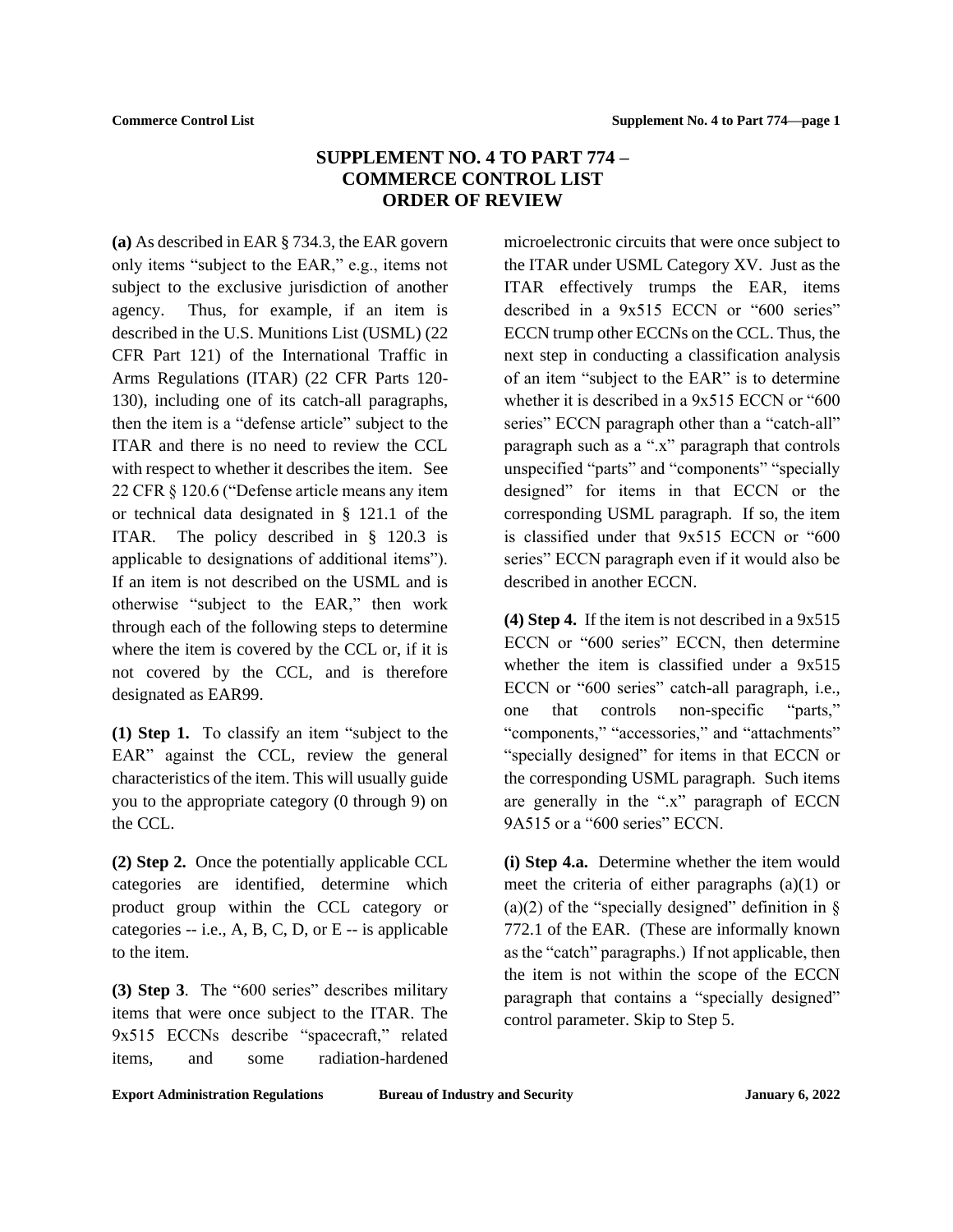# **SUPPLEMENT NO. 4 TO PART 774 – COMMERCE CONTROL LIST ORDER OF REVIEW**

<span id="page-7-0"></span>**(a)** As described in EAR § 734.3, the EAR govern only items "subject to the EAR," e.g., items not subject to the exclusive jurisdiction of another agency. Thus, for example, if an item is described in the U.S. Munitions List (USML) (22 CFR Part 121) of the International Traffic in Arms Regulations (ITAR) (22 CFR Parts 120- 130), including one of its catch-all paragraphs, then the item is a "defense article" subject to the ITAR and there is no need to review the CCL with respect to whether it describes the item. See 22 CFR § 120.6 ("Defense article means any item or technical data designated in § 121.1 of the ITAR. The policy described in § 120.3 is applicable to designations of additional items"). If an item is not described on the USML and is otherwise "subject to the EAR," then work through each of the following steps to determine where the item is covered by the CCL or, if it is not covered by the CCL, and is therefore designated as EAR99.

**(1) Step 1.** To classify an item "subject to the EAR" against the CCL, review the general characteristics of the item. This will usually guide you to the appropriate category (0 through 9) on the CCL.

**(2) Step 2.** Once the potentially applicable CCL categories are identified, determine which product group within the CCL category or categories -- i.e., A, B, C, D, or E -- is applicable to the item.

**(3) Step 3**. The "600 series" describes military items that were once subject to the ITAR. The 9x515 ECCNs describe "spacecraft," related items, and some radiation-hardened

microelectronic circuits that were once subject to the ITAR under USML Category XV. Just as the ITAR effectively trumps the EAR, items described in a 9x515 ECCN or "600 series" ECCN trump other ECCNs on the CCL. Thus, the next step in conducting a classification analysis of an item "subject to the EAR" is to determine whether it is described in a  $9x515$  ECCN or "600" series" ECCN paragraph other than a "catch-all" paragraph such as a ".x" paragraph that controls unspecified "parts" and "components" "specially designed" for items in that ECCN or the corresponding USML paragraph. If so, the item is classified under that 9x515 ECCN or "600 series" ECCN paragraph even if it would also be described in another ECCN.

**(4) Step 4.** If the item is not described in a 9x515 ECCN or "600 series" ECCN, then determine whether the item is classified under a 9x515 ECCN or "600 series" catch-all paragraph, i.e., one that controls non-specific "parts," "components," "accessories," and "attachments" "specially designed" for items in that ECCN or the corresponding USML paragraph. Such items are generally in the ".x" paragraph of ECCN 9A515 or a "600 series" ECCN.

**(i) Step 4.a.** Determine whether the item would meet the criteria of either paragraphs (a)(1) or (a)(2) of the "specially designed" definition in  $\S$ 772.1 of the EAR. (These are informally known as the "catch" paragraphs.) If not applicable, then the item is not within the scope of the ECCN paragraph that contains a "specially designed" control parameter. Skip to Step 5.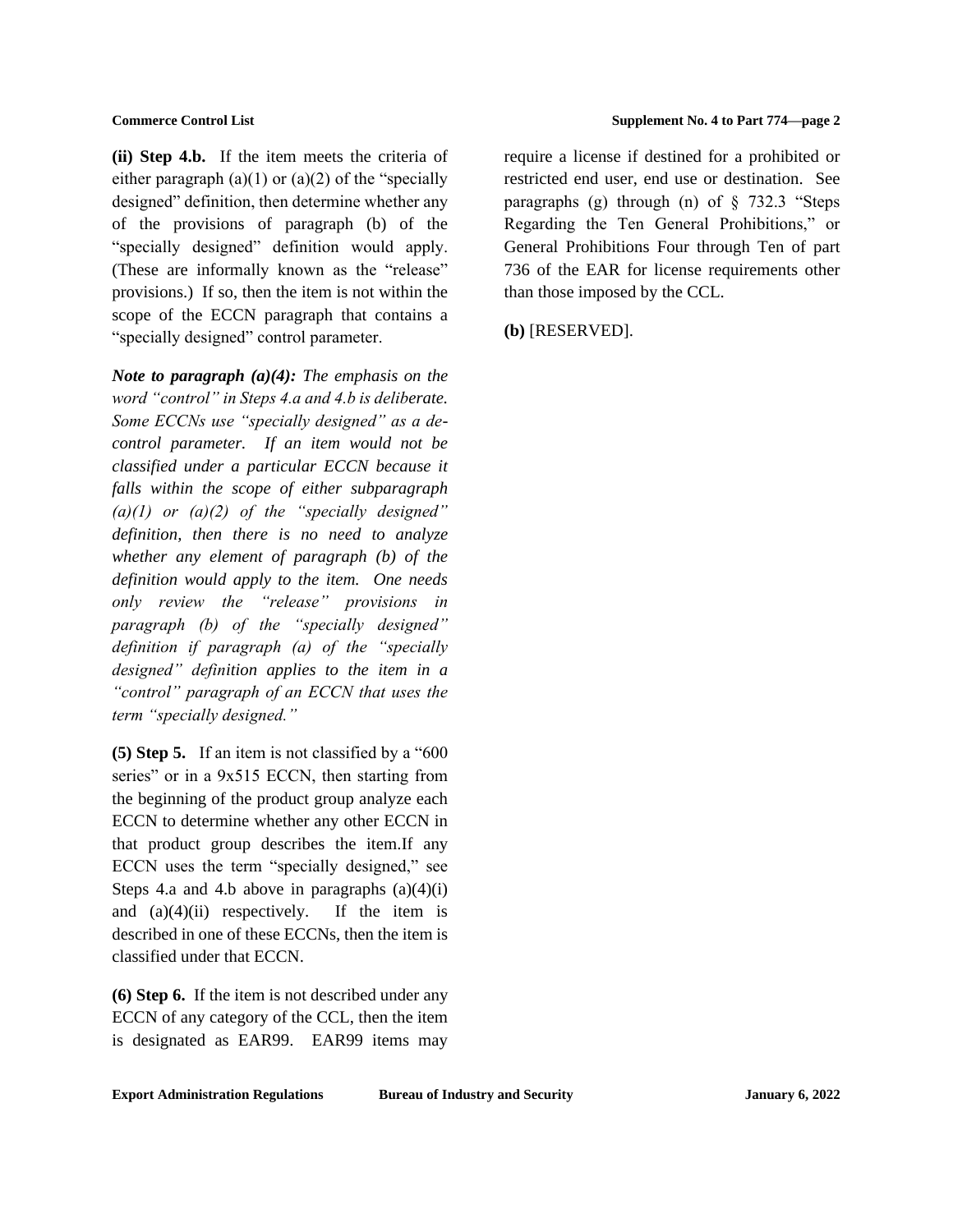**(ii) Step 4.b.** If the item meets the criteria of either paragraph  $(a)(1)$  or  $(a)(2)$  of the "specially designed" definition, then determine whether any of the provisions of paragraph (b) of the "specially designed" definition would apply. (These are informally known as the "release" provisions.) If so, then the item is not within the scope of the ECCN paragraph that contains a "specially designed" control parameter.

*Note to paragraph (a)(4): The emphasis on the word "control" in Steps 4.a and 4.b is deliberate. Some ECCNs use "specially designed" as a decontrol parameter. If an item would not be classified under a particular ECCN because it falls within the scope of either subparagraph (a)(1) or (a)(2) of the "specially designed" definition, then there is no need to analyze whether any element of paragraph (b) of the definition would apply to the item. One needs only review the "release" provisions in paragraph (b) of the "specially designed" definition if paragraph (a) of the "specially designed" definition applies to the item in a "control" paragraph of an ECCN that uses the term "specially designed."* 

**(5) Step 5.** If an item is not classified by a "600 series" or in a 9x515 ECCN, then starting from the beginning of the product group analyze each ECCN to determine whether any other ECCN in that product group describes the item.If any ECCN uses the term "specially designed," see Steps 4.a and 4.b above in paragraphs  $(a)(4)(i)$ and  $(a)(4)(ii)$  respectively. If the item is described in one of these ECCNs, then the item is classified under that ECCN.

**(6) Step 6.** If the item is not described under any ECCN of any category of the CCL, then the item is designated as EAR99. EAR99 items may require a license if destined for a prohibited or restricted end user, end use or destination. See paragraphs (g) through (n) of § 732.3 "Steps Regarding the Ten General Prohibitions," or General Prohibitions Four through Ten of part 736 of the EAR for license requirements other than those imposed by the CCL.

**(b)** [RESERVED].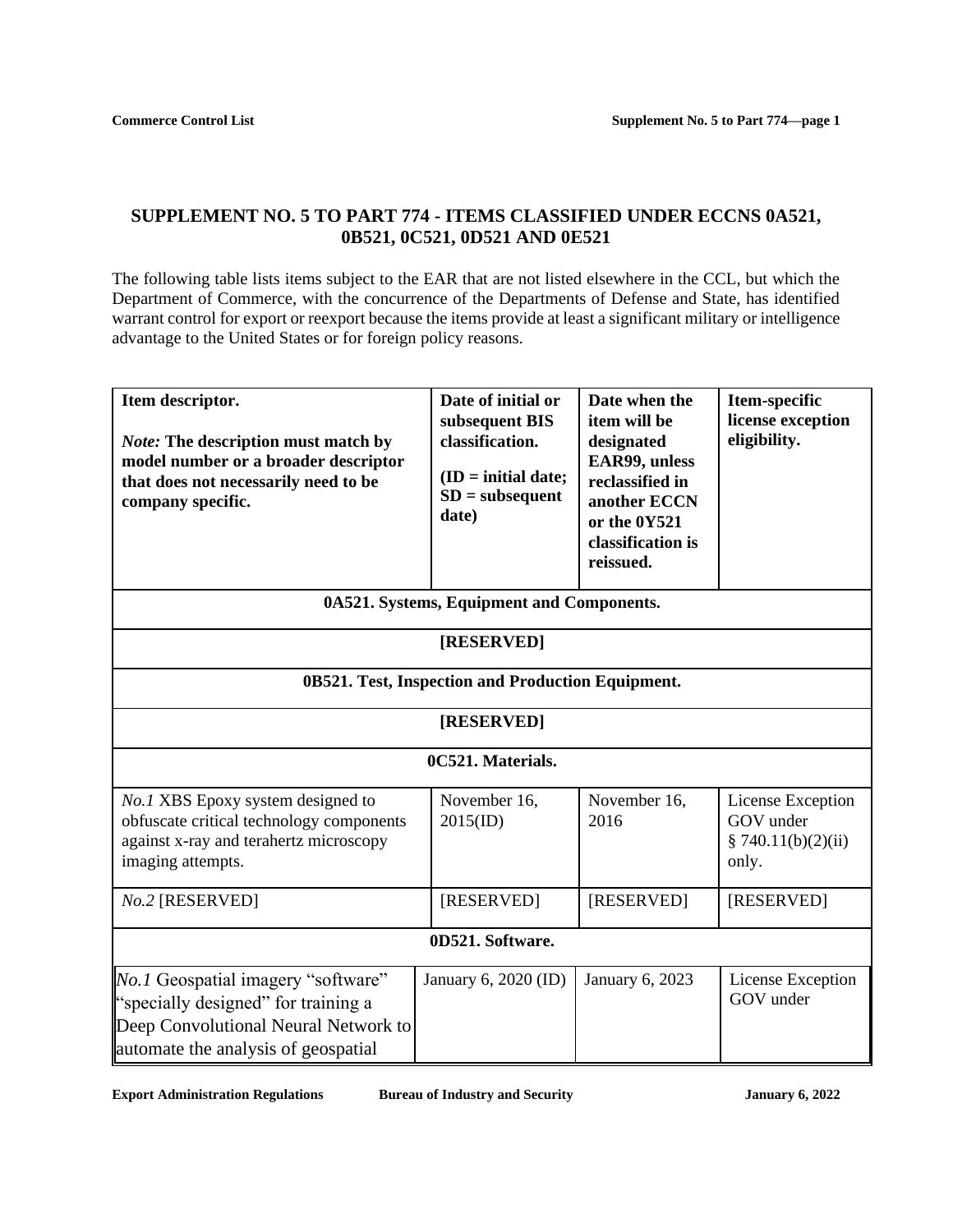# <span id="page-9-0"></span>**SUPPLEMENT NO. 5 TO PART 774 - ITEMS CLASSIFIED UNDER ECCNS 0A521, 0B521, 0C521, 0D521 AND 0E521**

The following table lists items subject to the EAR that are not listed elsewhere in the CCL, but which the Department of Commerce, with the concurrence of the Departments of Defense and State, has identified warrant control for export or reexport because the items provide at least a significant military or intelligence advantage to the United States or for foreign policy reasons.

| Item descriptor.<br><b>Note:</b> The description must match by<br>model number or a broader descriptor<br>that does not necessarily need to be<br>company specific. | Date of initial or<br>subsequent BIS<br>classification.<br>$(ID = initial date;$<br>$SD = subsequent$<br>date) | Date when the<br>item will be<br>designated<br>EAR99, unless<br>reclassified in<br>another ECCN<br>or the 0Y521<br>classification is<br>reissued. | Item-specific<br>license exception<br>eligibility.            |  |  |  |
|---------------------------------------------------------------------------------------------------------------------------------------------------------------------|----------------------------------------------------------------------------------------------------------------|---------------------------------------------------------------------------------------------------------------------------------------------------|---------------------------------------------------------------|--|--|--|
| 0A521. Systems, Equipment and Components.                                                                                                                           |                                                                                                                |                                                                                                                                                   |                                                               |  |  |  |
| [RESERVED]                                                                                                                                                          |                                                                                                                |                                                                                                                                                   |                                                               |  |  |  |
| 0B521. Test, Inspection and Production Equipment.                                                                                                                   |                                                                                                                |                                                                                                                                                   |                                                               |  |  |  |
| [RESERVED]                                                                                                                                                          |                                                                                                                |                                                                                                                                                   |                                                               |  |  |  |
| 0C521. Materials.                                                                                                                                                   |                                                                                                                |                                                                                                                                                   |                                                               |  |  |  |
| No.1 XBS Epoxy system designed to<br>obfuscate critical technology components<br>against x-ray and terahertz microscopy<br>imaging attempts.                        | November 16,<br>$2015$ (ID)                                                                                    | November 16,<br>2016                                                                                                                              | License Exception<br>GOV under<br>\$740.11(b)(2)(ii)<br>only. |  |  |  |
| No.2 [RESERVED]                                                                                                                                                     | [RESERVED]                                                                                                     | [RESERVED]                                                                                                                                        | [RESERVED]                                                    |  |  |  |
| 0D521. Software.                                                                                                                                                    |                                                                                                                |                                                                                                                                                   |                                                               |  |  |  |
| No.1 Geospatial imagery "software"<br>"specially designed" for training a<br>Deep Convolutional Neural Network to<br>automate the analysis of geospatial            | January 6, 2020 (ID)                                                                                           | January 6, 2023                                                                                                                                   | License Exception<br>GOV under                                |  |  |  |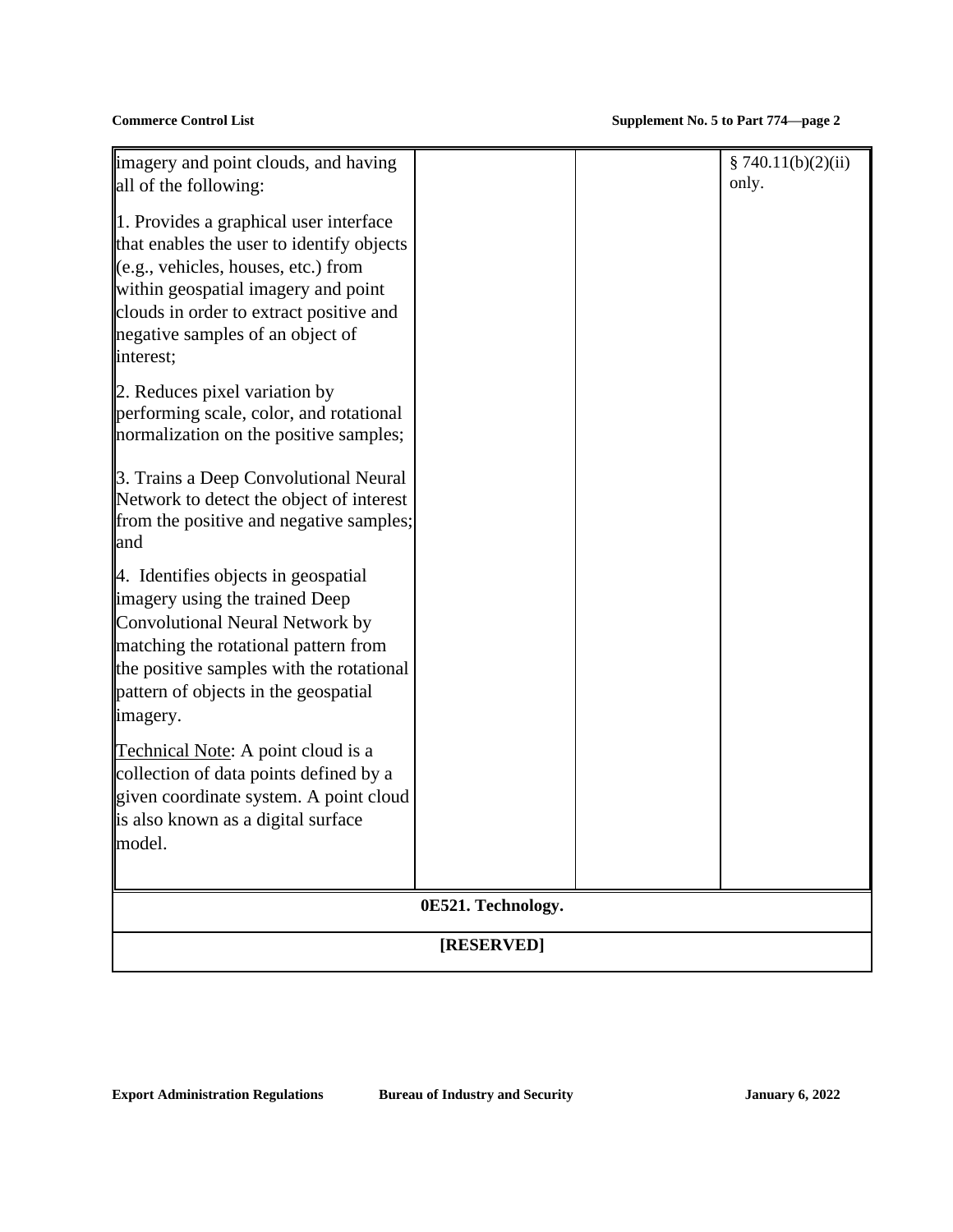| imagery and point clouds, and having<br>all of the following:                                                                                                                                                                                                 |  |  | \$740.11(b)(2)(ii)<br>only. |  |  |  |
|---------------------------------------------------------------------------------------------------------------------------------------------------------------------------------------------------------------------------------------------------------------|--|--|-----------------------------|--|--|--|
| 1. Provides a graphical user interface<br>that enables the user to identify objects<br>(e.g., vehicles, houses, etc.) from<br>within geospatial imagery and point<br>clouds in order to extract positive and<br>negative samples of an object of<br>interest; |  |  |                             |  |  |  |
| 2. Reduces pixel variation by<br>performing scale, color, and rotational<br>normalization on the positive samples;                                                                                                                                            |  |  |                             |  |  |  |
| 3. Trains a Deep Convolutional Neural<br>Network to detect the object of interest<br>from the positive and negative samples;<br>and                                                                                                                           |  |  |                             |  |  |  |
| 4. Identifies objects in geospatial<br>imagery using the trained Deep<br>Convolutional Neural Network by<br>matching the rotational pattern from<br>the positive samples with the rotational<br>pattern of objects in the geospatial<br>imagery.              |  |  |                             |  |  |  |
| Technical Note: A point cloud is a<br>collection of data points defined by a<br>given coordinate system. A point cloud<br>is also known as a digital surface<br>model.                                                                                        |  |  |                             |  |  |  |
| 0E521. Technology.                                                                                                                                                                                                                                            |  |  |                             |  |  |  |
| [RESERVED]                                                                                                                                                                                                                                                    |  |  |                             |  |  |  |
|                                                                                                                                                                                                                                                               |  |  |                             |  |  |  |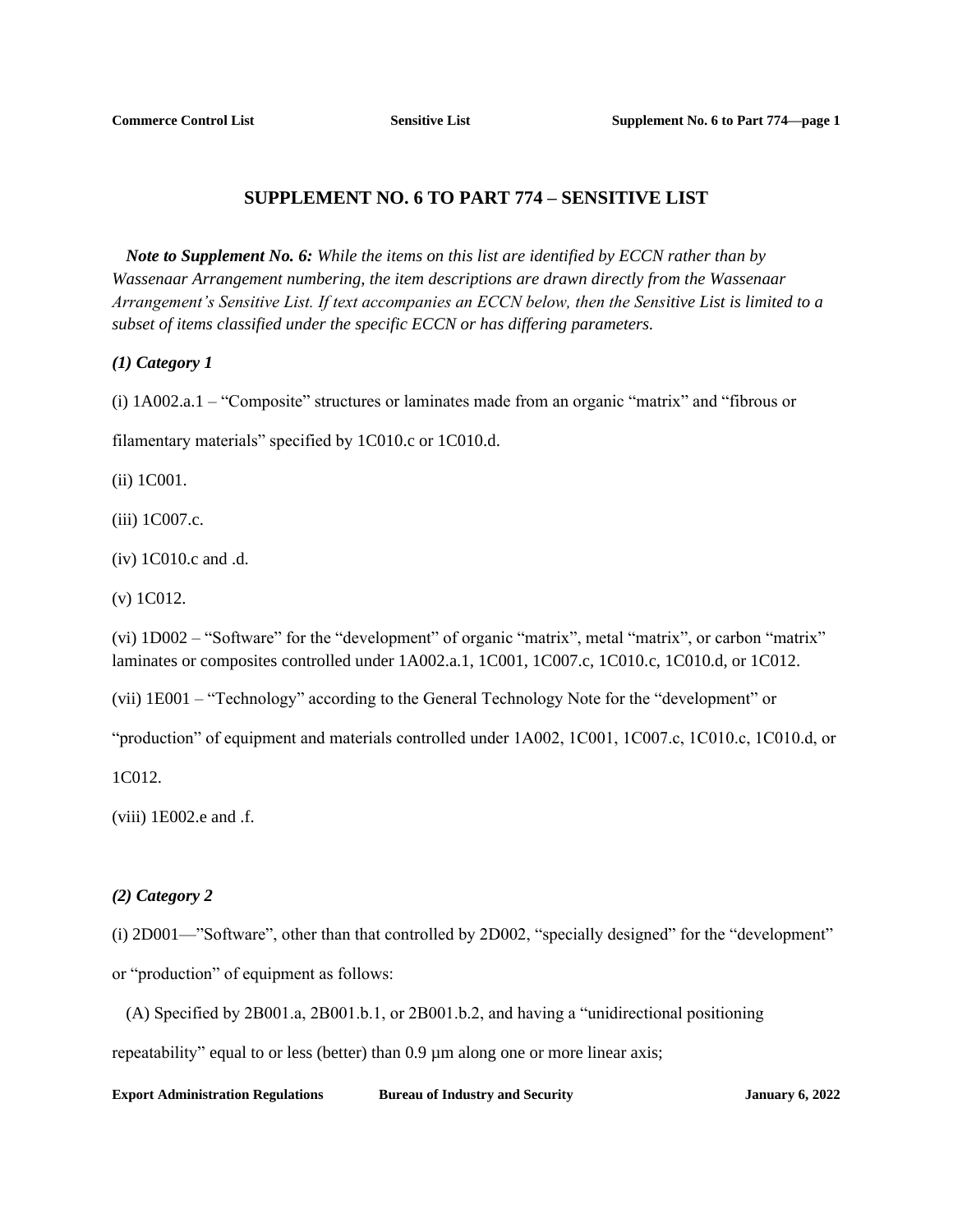# **SUPPLEMENT NO. 6 TO PART 774 – SENSITIVE LIST**

<span id="page-11-0"></span>*Note to Supplement No. 6: While the items on this list are identified by ECCN rather than by Wassenaar Arrangement numbering, the item descriptions are drawn directly from the Wassenaar Arrangement's Sensitive List. If text accompanies an ECCN below, then the Sensitive List is limited to a subset of items classified under the specific ECCN or has differing parameters.* 

*(1) Category 1*

(i) 1A002.a.1 – "Composite" structures or laminates made from an organic "matrix" and "fibrous or

filamentary materials" specified by 1C010.c or 1C010.d.

(ii) 1C001.

(iii) 1C007.c.

(iv) 1C010.c and .d.

(v) 1C012.

(vi) 1D002 – "Software" for the "development" of organic "matrix", metal "matrix", or carbon "matrix" laminates or composites controlled under 1A002.a.1, 1C001, 1C007.c, 1C010.c, 1C010.d, or 1C012.

(vii) 1E001 – "Technology" according to the General Technology Note for the "development" or

"production" of equipment and materials controlled under 1A002, 1C001, 1C007.c, 1C010.c, 1C010.d, or

1C012.

 $(viii)$  1E002.e and .f.

### *(2) Category 2*

(i) 2D001—"Software", other than that controlled by 2D002, "specially designed" for the "development" or "production" of equipment as follows:

(A) Specified by 2B001.a, 2B001.b.1, or 2B001.b.2, and having a "unidirectional positioning

repeatability" equal to or less (better) than 0.9  $\mu$ m along one or more linear axis;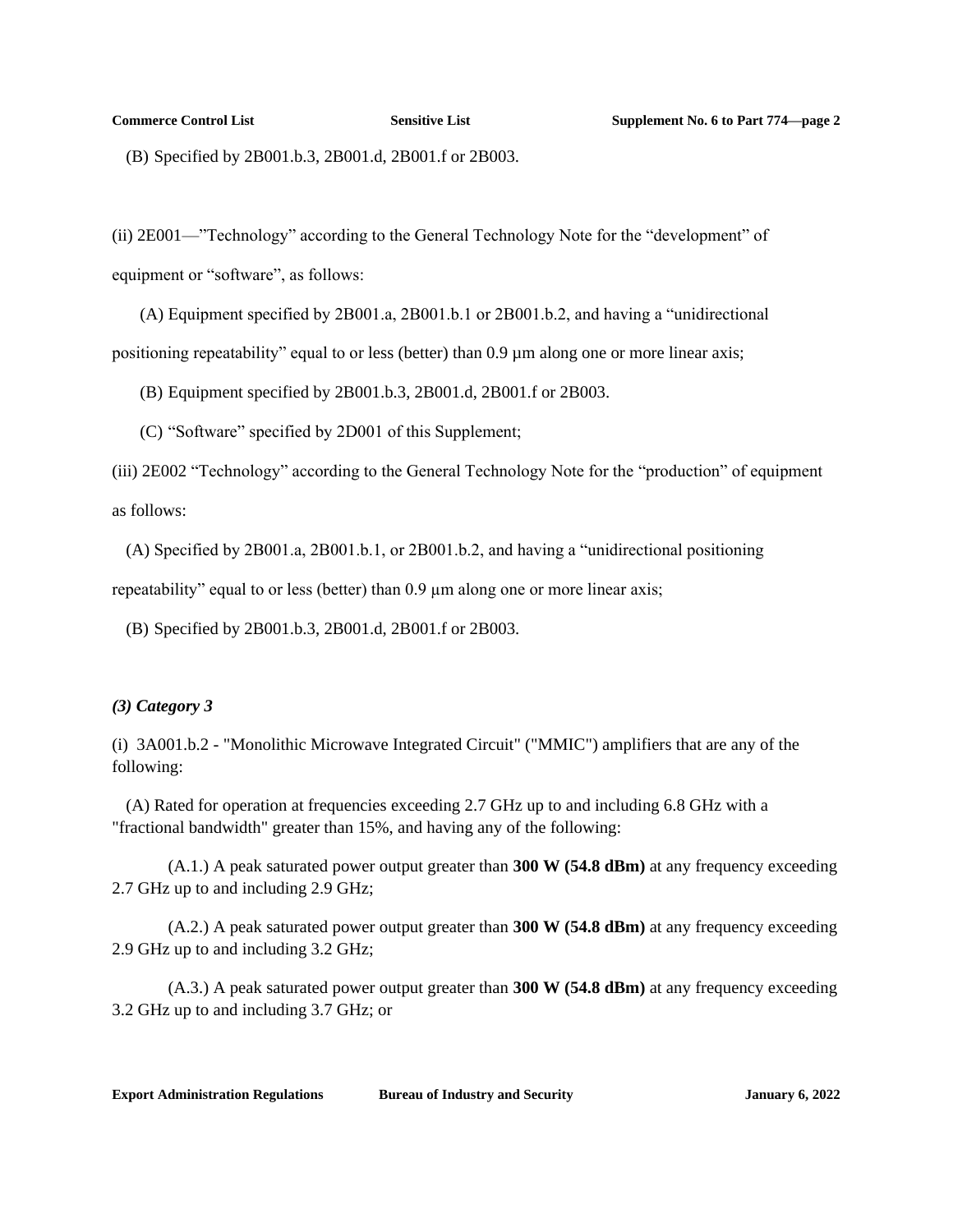(B) Specified by 2B001.b.3, 2B001.d, 2B001.f or 2B003.

(ii) 2E001—"Technology" according to the General Technology Note for the "development" of equipment or "software", as follows:

(A) Equipment specified by 2B001.a, 2B001.b.1 or 2B001.b.2, and having a "unidirectional positioning repeatability" equal to or less (better) than  $0.9 \mu m$  along one or more linear axis;

(B) Equipment specified by 2B001.b.3, 2B001.d, 2B001.f or 2B003.

(C) "Software" specified by 2D001 of this Supplement;

(iii) 2E002 "Technology" according to the General Technology Note for the "production" of equipment as follows:

(A) Specified by 2B001.a, 2B001.b.1, or 2B001.b.2, and having a "unidirectional positioning

repeatability" equal to or less (better) than 0.9  $\mu$ m along one or more linear axis;

(B) Specified by 2B001.b.3, 2B001.d, 2B001.f or 2B003.

### *(3) Category 3*

(i) 3A001.b.2 - "Monolithic Microwave Integrated Circuit" ("MMIC") amplifiers that are any of the following:

(A) Rated for operation at frequencies exceeding 2.7 GHz up to and including 6.8 GHz with a "fractional bandwidth" greater than 15%, and having any of the following:

(A.1.) A peak saturated power output greater than **300 W (54.8 dBm)** at any frequency exceeding 2.7 GHz up to and including 2.9 GHz;

(A.2.) A peak saturated power output greater than **300 W (54.8 dBm)** at any frequency exceeding 2.9 GHz up to and including 3.2 GHz;

(A.3.) A peak saturated power output greater than **300 W (54.8 dBm)** at any frequency exceeding 3.2 GHz up to and including 3.7 GHz; or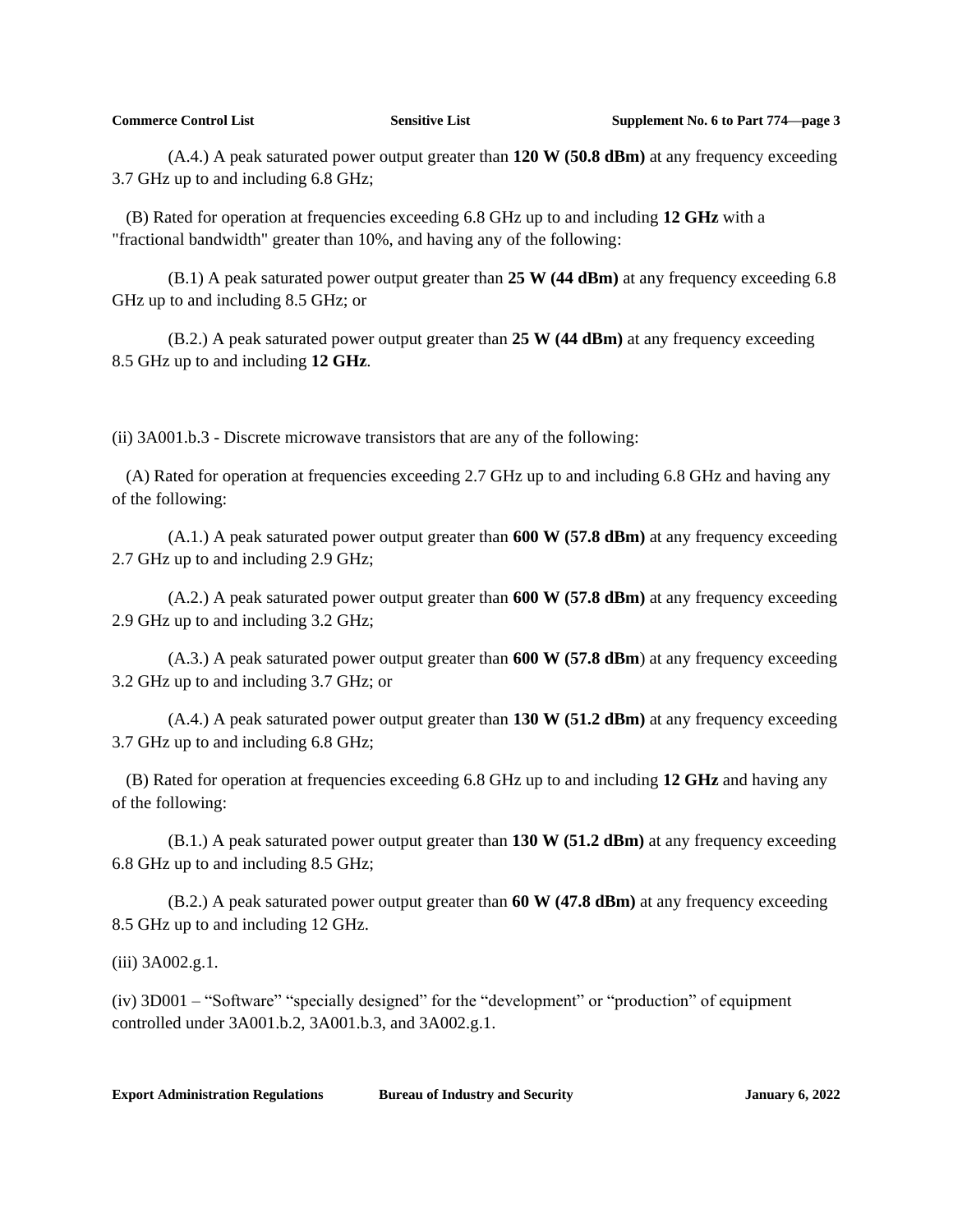(A.4.) A peak saturated power output greater than **120 W (50.8 dBm)** at any frequency exceeding 3.7 GHz up to and including 6.8 GHz;

(B) Rated for operation at frequencies exceeding 6.8 GHz up to and including **12 GHz** with a "fractional bandwidth" greater than 10%, and having any of the following:

(B.1) A peak saturated power output greater than **25 W (44 dBm)** at any frequency exceeding 6.8 GHz up to and including 8.5 GHz; or

(B.2.) A peak saturated power output greater than **25 W (44 dBm)** at any frequency exceeding 8.5 GHz up to and including **12 GHz**.

(ii) 3A001.b.3 - Discrete microwave transistors that are any of the following:

(A) Rated for operation at frequencies exceeding 2.7 GHz up to and including 6.8 GHz and having any of the following:

(A.1.) A peak saturated power output greater than **600 W (57.8 dBm)** at any frequency exceeding 2.7 GHz up to and including 2.9 GHz;

(A.2.) A peak saturated power output greater than **600 W (57.8 dBm)** at any frequency exceeding 2.9 GHz up to and including 3.2 GHz;

(A.3.) A peak saturated power output greater than **600 W (57.8 dBm**) at any frequency exceeding 3.2 GHz up to and including 3.7 GHz; or

(A.4.) A peak saturated power output greater than **130 W (51.2 dBm)** at any frequency exceeding 3.7 GHz up to and including 6.8 GHz;

(B) Rated for operation at frequencies exceeding 6.8 GHz up to and including **12 GHz** and having any of the following:

(B.1.) A peak saturated power output greater than **130 W (51.2 dBm)** at any frequency exceeding 6.8 GHz up to and including 8.5 GHz;

(B.2.) A peak saturated power output greater than **60 W (47.8 dBm)** at any frequency exceeding 8.5 GHz up to and including 12 GHz.

(iii) 3A002.g.1.

(iv) 3D001 – "Software" "specially designed" for the "development" or "production" of equipment controlled under 3A001.b.2, 3A001.b.3, and 3A002.g.1.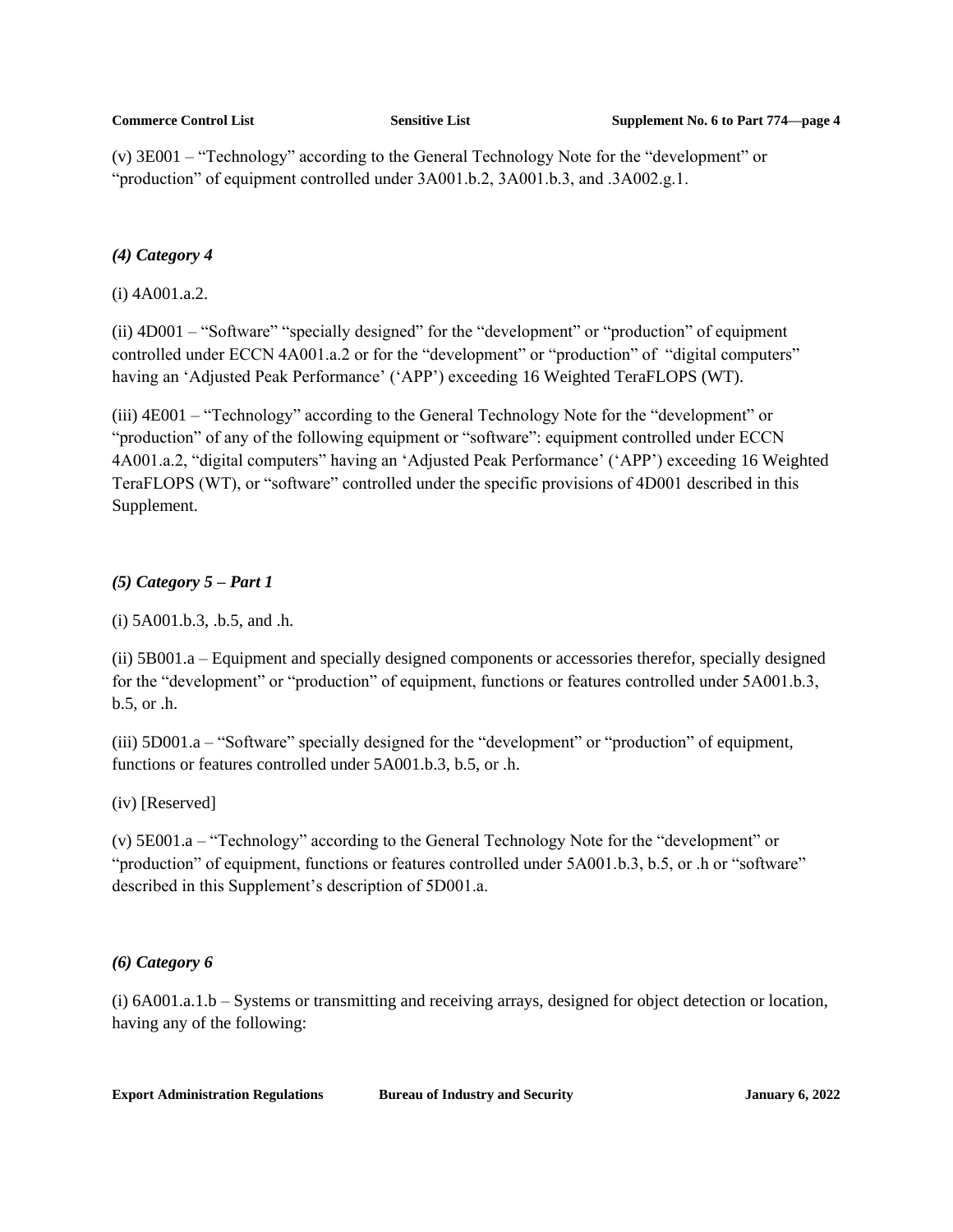(v) 3E001 – "Technology" according to the General Technology Note for the "development" or "production" of equipment controlled under 3A001.b.2, 3A001.b.3, and .3A002.g.1.

# *(4) Category 4*

(i) 4A001.a.2.

(ii) 4D001 – "Software" "specially designed" for the "development" or "production" of equipment controlled under ECCN 4A001.a.2 or for the "development" or "production" of "digital computers" having an 'Adjusted Peak Performance' ('APP') exceeding 16 Weighted TeraFLOPS (WT).

(iii) 4E001 – "Technology" according to the General Technology Note for the "development" or "production" of any of the following equipment or "software": equipment controlled under ECCN 4A001.a.2, "digital computers" having an 'Adjusted Peak Performance' ('APP') exceeding 16 Weighted TeraFLOPS (WT), or "software" controlled under the specific provisions of 4D001 described in this Supplement.

# *(5) Category 5 – Part 1*

(i) 5A001.b.3, .b.5, and .h.

(ii) 5B001.a – Equipment and specially designed components or accessories therefor, specially designed for the "development" or "production" of equipment, functions or features controlled under 5A001.b.3, b.5, or .h.

(iii) 5D001.a – "Software" specially designed for the "development" or "production" of equipment, functions or features controlled under 5A001.b.3, b.5, or .h.

(iv) [Reserved]

(v) 5E001.a – "Technology" according to the General Technology Note for the "development" or "production" of equipment, functions or features controlled under 5A001.b.3, b.5, or .h or "software" described in this Supplement's description of 5D001.a.

# *(6) Category 6*

(i) 6A001.a.1.b – Systems or transmitting and receiving arrays, designed for object detection or location, having any of the following: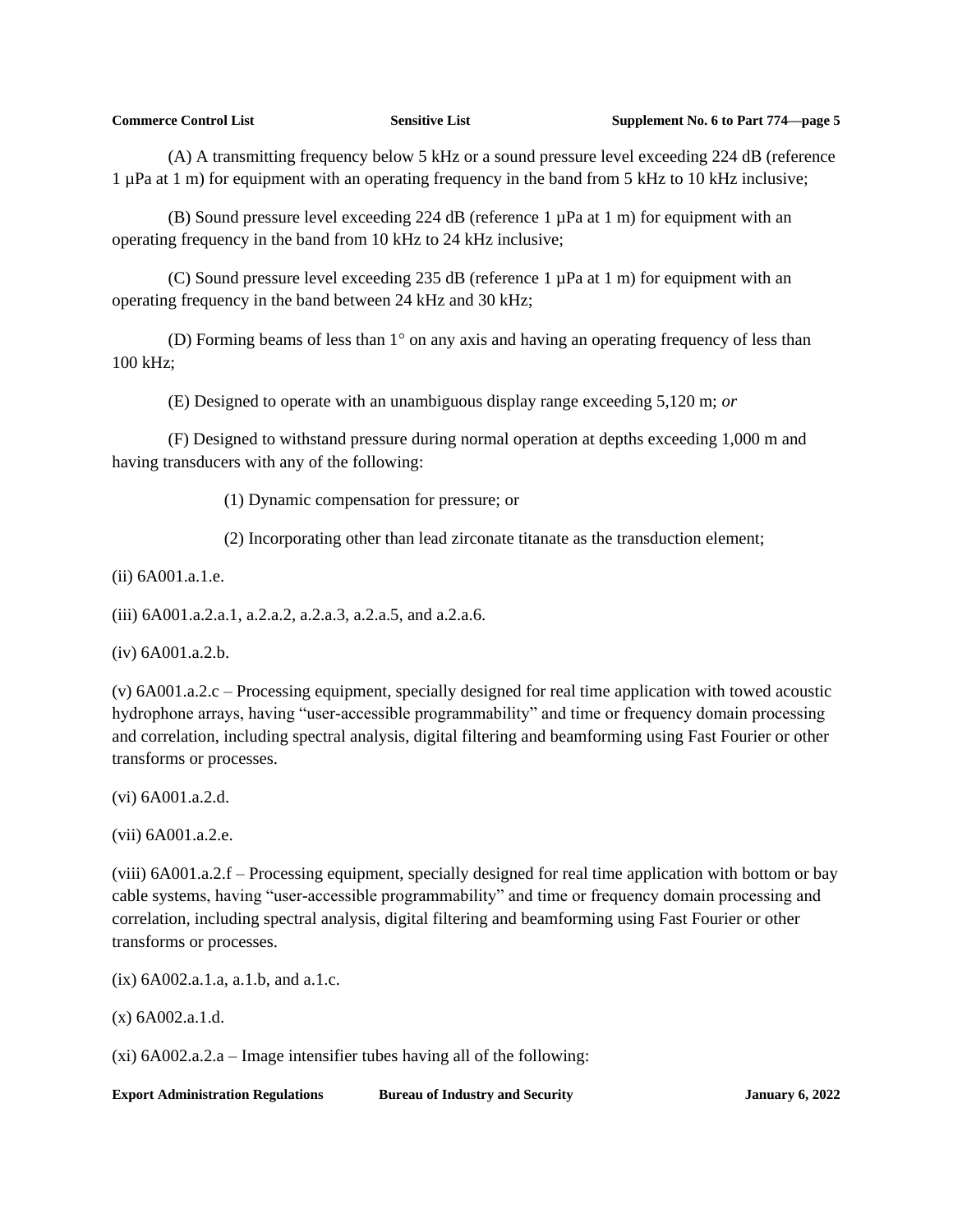(A) A transmitting frequency below 5 kHz or a sound pressure level exceeding 224 dB (reference 1 µPa at 1 m) for equipment with an operating frequency in the band from 5 kHz to 10 kHz inclusive;

(B) Sound pressure level exceeding 224 dB (reference  $1 \mu Pa$  at  $1 \text{ m}$ ) for equipment with an operating frequency in the band from 10 kHz to 24 kHz inclusive;

(C) Sound pressure level exceeding 235 dB (reference  $1 \mu Pa$  at  $1 \text{ m}$ ) for equipment with an operating frequency in the band between 24 kHz and 30 kHz;

(D) Forming beams of less than  $1^{\circ}$  on any axis and having an operating frequency of less than 100 kHz;

(E) Designed to operate with an unambiguous display range exceeding 5,120 m; *or*

(F) Designed to withstand pressure during normal operation at depths exceeding 1,000 m and having transducers with any of the following:

(1) Dynamic compensation for pressure; or

(2) Incorporating other than lead zirconate titanate as the transduction element;

(ii) 6A001.a.1.e.

(iii) 6A001.a.2.a.1, a.2.a.2, a.2.a.3, a.2.a.5, and a.2.a.6.

(iv) 6A001.a.2.b.

(v) 6A001.a.2.c – Processing equipment, specially designed for real time application with towed acoustic hydrophone arrays, having "user-accessible programmability" and time or frequency domain processing and correlation, including spectral analysis, digital filtering and beamforming using Fast Fourier or other transforms or processes.

(vi) 6A001.a.2.d.

(vii) 6A001.a.2.e.

(viii) 6A001.a.2.f – Processing equipment, specially designed for real time application with bottom or bay cable systems, having "user-accessible programmability" and time or frequency domain processing and correlation, including spectral analysis, digital filtering and beamforming using Fast Fourier or other transforms or processes.

(ix) 6A002.a.1.a, a.1.b, and a.1.c.

(x) 6A002.a.1.d.

(xi) 6A002.a.2.a – Image intensifier tubes having all of the following: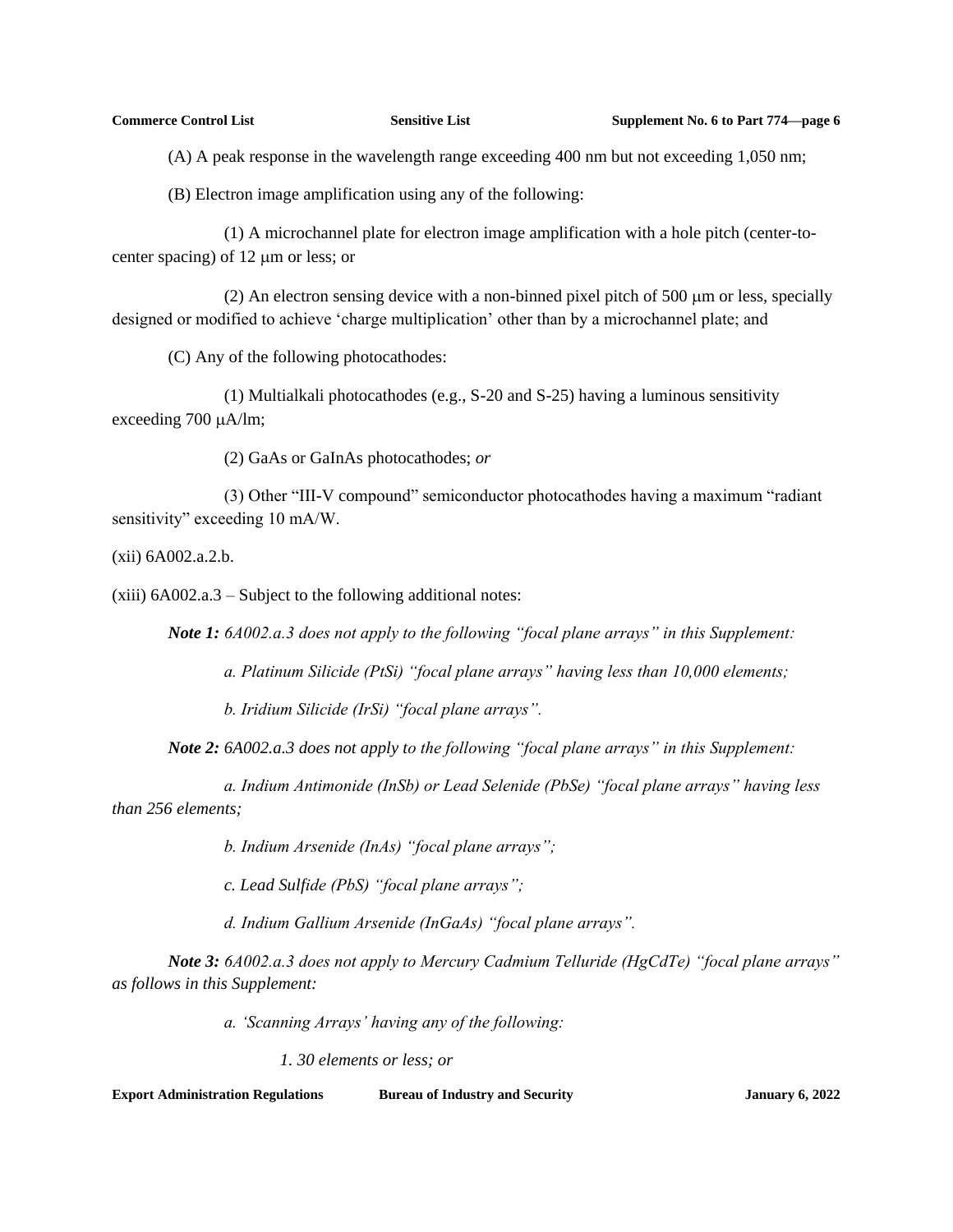(A) A peak response in the wavelength range exceeding 400 nm but not exceeding 1,050 nm;

(B) Electron image amplification using any of the following:

(1) A microchannel plate for electron image amplification with a hole pitch (center-tocenter spacing) of  $12 \mu m$  or less; or

(2) An electron sensing device with a non-binned pixel pitch of  $500 \mu m$  or less, specially designed or modified to achieve 'charge multiplication' other than by a microchannel plate; and

(C) Any of the following photocathodes:

(1) Multialkali photocathodes (e.g., S-20 and S-25) having a luminous sensitivity exceeding 700  $\mu$ A/lm;

(2) GaAs or GaInAs photocathodes; *or*

(3) Other "III-V compound" semiconductor photocathodes having a maximum "radiant sensitivity" exceeding 10 mA/W.

(xii) 6A002.a.2.b.

(xiii) 6A002.a.3 – Subject to the following additional notes:

*Note 1: 6A002.a.3 does not apply to the following "focal plane arrays" in this Supplement:*

*a. Platinum Silicide (PtSi) "focal plane arrays" having less than 10,000 elements;* 

*b. Iridium Silicide (IrSi) "focal plane arrays".*

*Note 2: 6A002.a.3 does not apply to the following "focal plane arrays" in this Supplement:*

*a. Indium Antimonide (InSb) or Lead Selenide (PbSe) "focal plane arrays" having less than 256 elements;*

*b. Indium Arsenide (InAs) "focal plane arrays";*

*c. Lead Sulfide (PbS) "focal plane arrays";* 

*d. Indium Gallium Arsenide (InGaAs) "focal plane arrays".*

*Note 3: 6A002.a.3 does not apply to Mercury Cadmium Telluride (HgCdTe) "focal plane arrays" as follows in this Supplement:*

*a. 'Scanning Arrays' having any of the following:*

*1. 30 elements or less; or*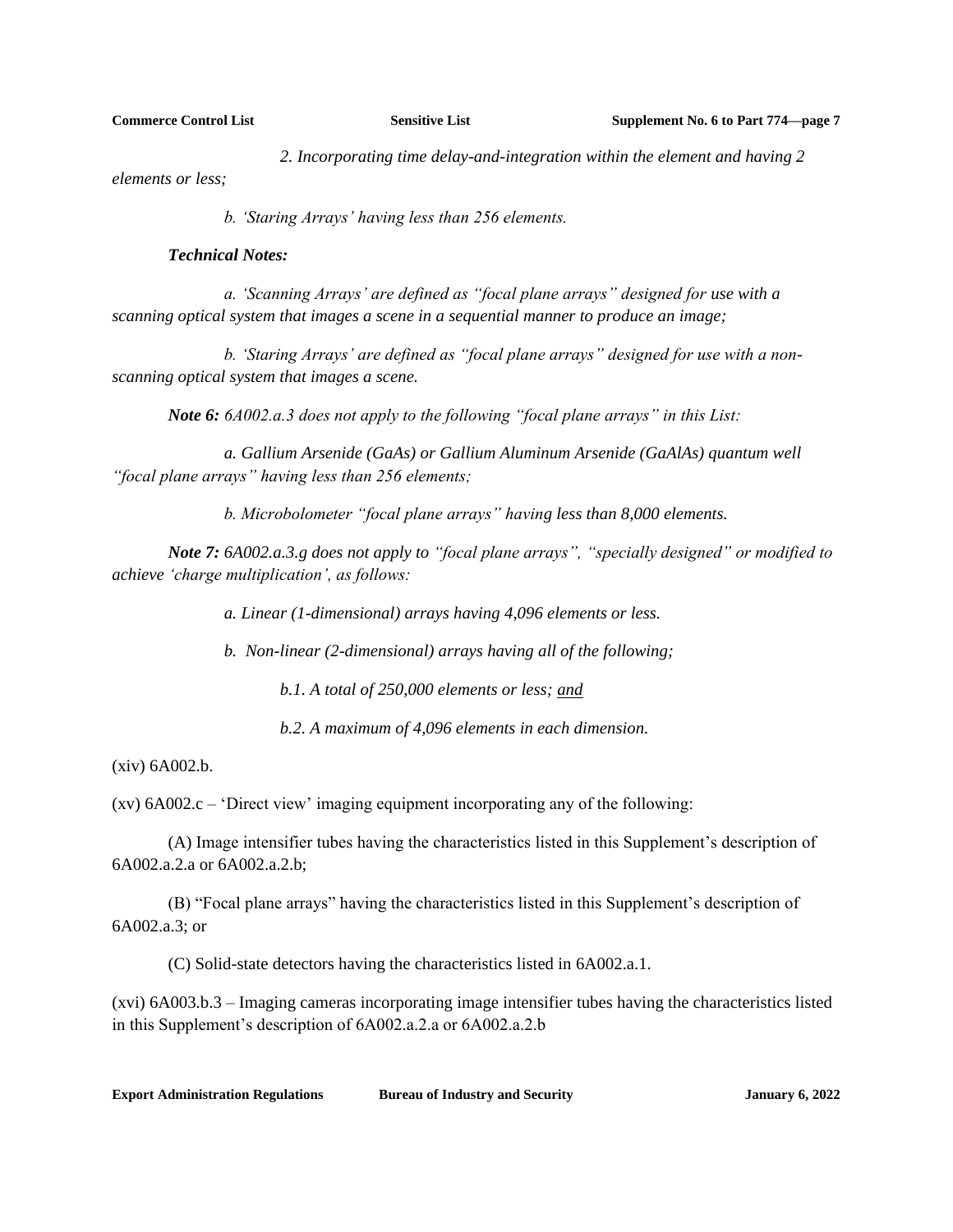*2. Incorporating time delay-and-integration within the element and having 2* 

*elements or less;* 

*b. 'Staring Arrays' having less than 256 elements.*

### *Technical Notes:*

*a. 'Scanning Arrays' are defined as "focal plane arrays" designed for use with a scanning optical system that images a scene in a sequential manner to produce an image;*

*b. 'Staring Arrays' are defined as "focal plane arrays" designed for use with a nonscanning optical system that images a scene.*

*Note 6: 6A002.a.3 does not apply to the following "focal plane arrays" in this List:*

*a. Gallium Arsenide (GaAs) or Gallium Aluminum Arsenide (GaAlAs) quantum well "focal plane arrays" having less than 256 elements;*

*b. Microbolometer "focal plane arrays" having less than 8,000 elements.*

*Note 7: 6A002.a.3.g does not apply to "focal plane arrays", "specially designed" or modified to achieve 'charge multiplication', as follows:*

*a. Linear (1-dimensional) arrays having 4,096 elements or less.*

*b. Non-linear (2-dimensional) arrays having all of the following;*

*b.1. A total of 250,000 elements or less; and*

*b.2. A maximum of 4,096 elements in each dimension.*

(xiv) 6A002.b.

(xv) 6A002.c – 'Direct view' imaging equipment incorporating any of the following:

(A) Image intensifier tubes having the characteristics listed in this Supplement's description of 6A002.a.2.a or 6A002.a.2.b;

(B) "Focal plane arrays" having the characteristics listed in this Supplement's description of 6A002.a.3; or

(C) Solid-state detectors having the characteristics listed in 6A002.a.1.

(xvi) 6A003.b.3 – Imaging cameras incorporating image intensifier tubes having the characteristics listed in this Supplement's description of 6A002.a.2.a or 6A002.a.2.b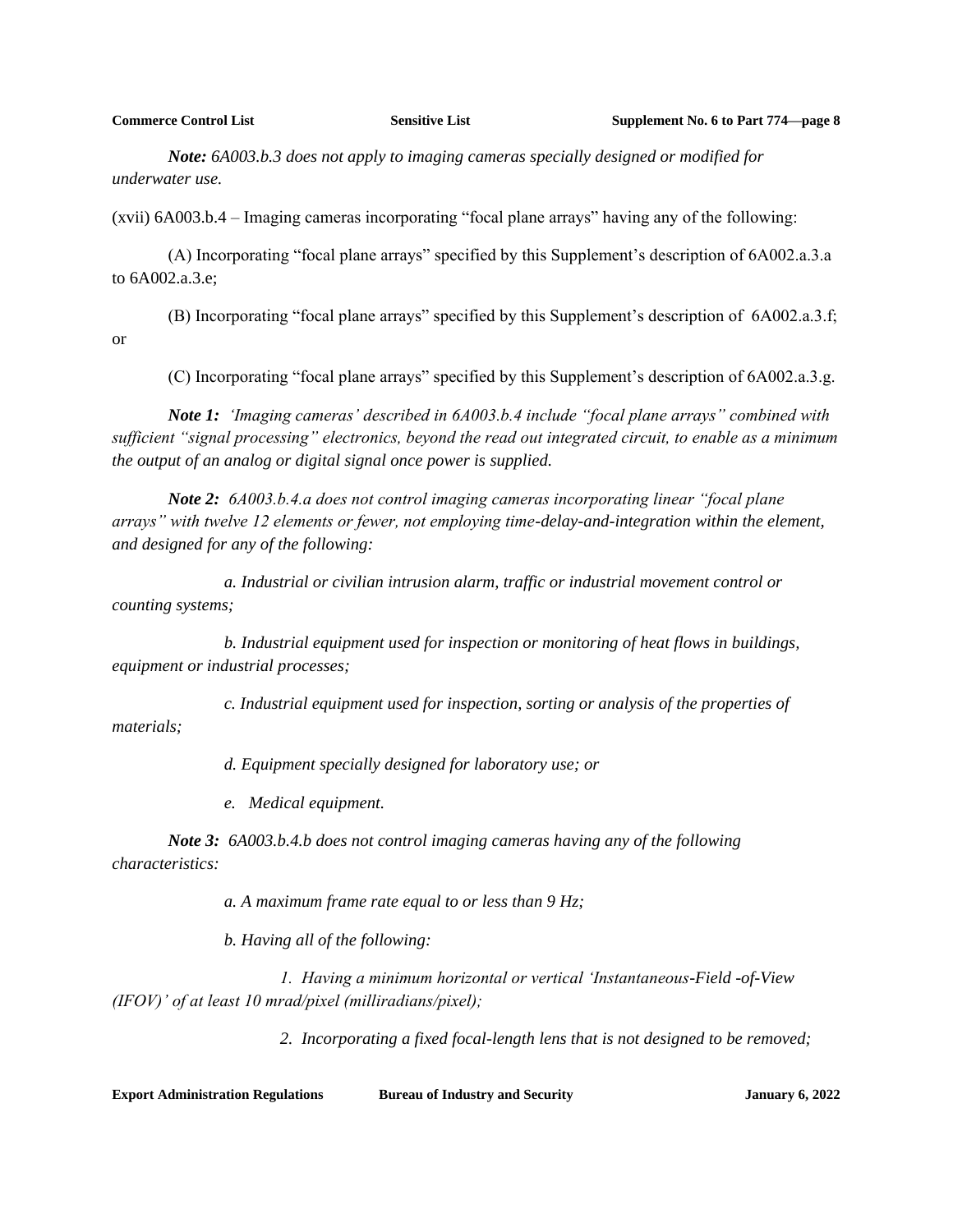*Note: 6A003.b.3 does not apply to imaging cameras specially designed or modified for underwater use.*

(xvii) 6A003.b.4 – Imaging cameras incorporating "focal plane arrays" having any of the following:

(A) Incorporating "focal plane arrays" specified by this Supplement's description of 6A002.a.3.a to 6A002.a.3.e;

(B) Incorporating "focal plane arrays" specified by this Supplement's description of 6A002.a.3.f; or

(C) Incorporating "focal plane arrays" specified by this Supplement's description of 6A002.a.3.g.

*Note 1: 'Imaging cameras' described in 6A003.b.4 include "focal plane arrays" combined with sufficient "signal processing" electronics, beyond the read out integrated circuit, to enable as a minimum the output of an analog or digital signal once power is supplied.*

*Note 2: 6A003.b.4.a does not control imaging cameras incorporating linear "focal plane arrays" with twelve 12 elements or fewer, not employing time-delay-and-integration within the element, and designed for any of the following:*

*a. Industrial or civilian intrusion alarm, traffic or industrial movement control or counting systems;*

*b. Industrial equipment used for inspection or monitoring of heat flows in buildings, equipment or industrial processes;*

*c. Industrial equipment used for inspection, sorting or analysis of the properties of materials;*

*d. Equipment specially designed for laboratory use; or*

*e. Medical equipment.*

*Note 3: 6A003.b.4.b does not control imaging cameras having any of the following characteristics:*

*a. A maximum frame rate equal to or less than 9 Hz;*

*b. Having all of the following:*

*1. Having a minimum horizontal or vertical 'Instantaneous-Field -of-View (IFOV)' of at least 10 mrad/pixel (milliradians/pixel);*

*2. Incorporating a fixed focal-length lens that is not designed to be removed;*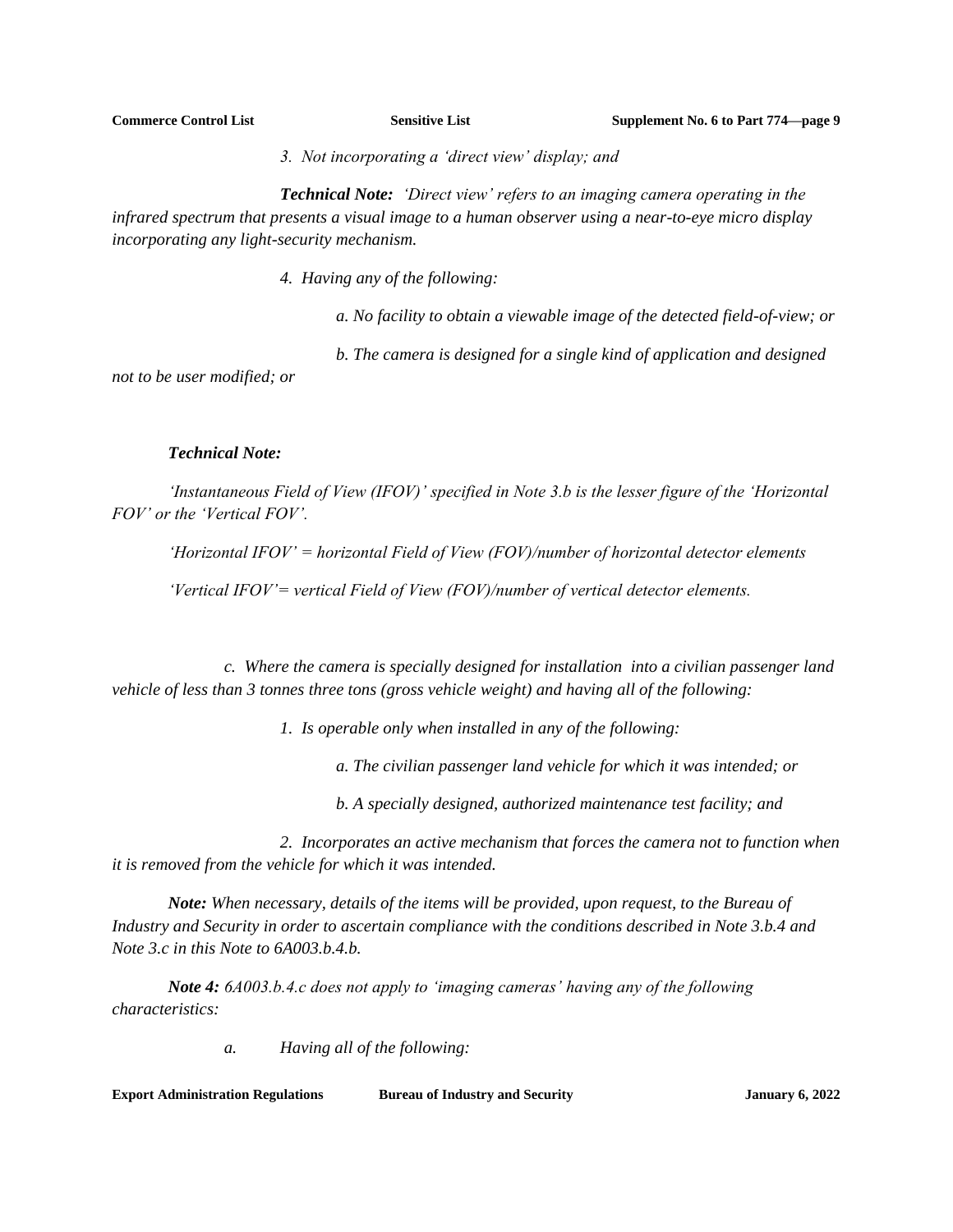*3. Not incorporating a 'direct view' display; and*

*Technical Note: 'Direct view' refers to an imaging camera operating in the infrared spectrum that presents a visual image to a human observer using a near-to-eye micro display incorporating any light-security mechanism.*

*4. Having any of the following:*

*a. No facility to obtain a viewable image of the detected field-of-view; or*

*b. The camera is designed for a single kind of application and designed* 

*not to be user modified; or*

## *Technical Note:*

*'Instantaneous Field of View (IFOV)' specified in Note 3.b is the lesser figure of the 'Horizontal FOV' or the 'Vertical FOV'.*

*'Horizontal IFOV' = horizontal Field of View (FOV)/number of horizontal detector elements*

*'Vertical IFOV'= vertical Field of View (FOV)/number of vertical detector elements.*

*c. Where the camera is specially designed for installation into a civilian passenger land vehicle of less than 3 tonnes three tons (gross vehicle weight) and having all of the following:*

*1. Is operable only when installed in any of the following:*

*a. The civilian passenger land vehicle for which it was intended; or*

*b. A specially designed, authorized maintenance test facility; and*

*2. Incorporates an active mechanism that forces the camera not to function when it is removed from the vehicle for which it was intended.*

*Note: When necessary, details of the items will be provided, upon request, to the Bureau of Industry and Security in order to ascertain compliance with the conditions described in Note 3.b.4 and Note 3.c in this Note to 6A003.b.4.b.*

*Note 4: 6A003.b.4.c does not apply to 'imaging cameras' having any of the following characteristics:*

*a. Having all of the following:*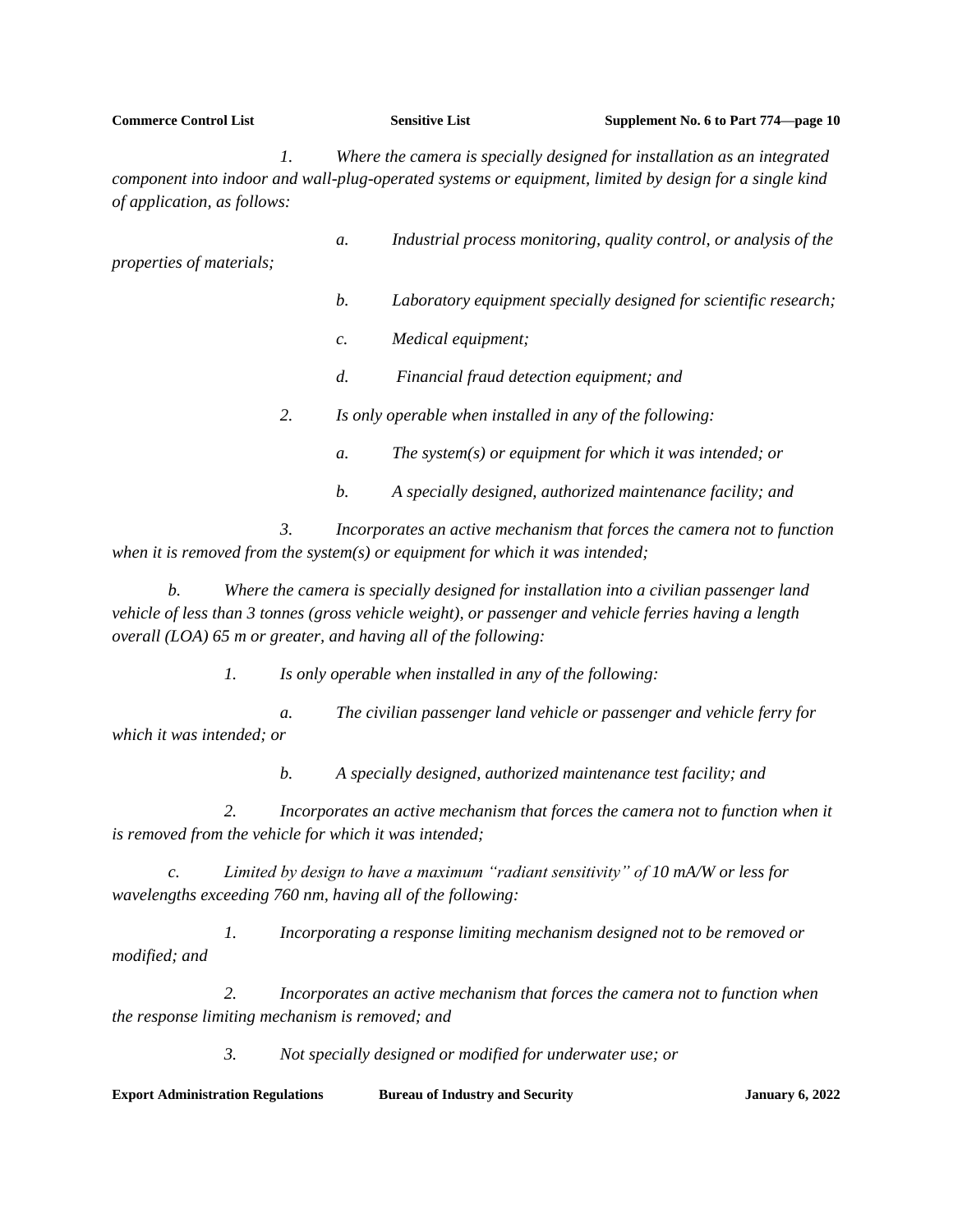| <b>Commerce Control List</b>                                                                                                                                                                                                         |                 | <b>Sensitive List</b>                                    | Supplement No. 6 to Part 774—page 10                               |  |  |
|--------------------------------------------------------------------------------------------------------------------------------------------------------------------------------------------------------------------------------------|-----------------|----------------------------------------------------------|--------------------------------------------------------------------|--|--|
| Where the camera is specially designed for installation as an integrated<br>$\mathcal{I}$ .<br>component into indoor and wall-plug-operated systems or equipment, limited by design for a single kind<br>of application, as follows: |                 |                                                          |                                                                    |  |  |
| properties of materials;                                                                                                                                                                                                             | a.              |                                                          | Industrial process monitoring, quality control, or analysis of the |  |  |
|                                                                                                                                                                                                                                      | b.              |                                                          | Laboratory equipment specially designed for scientific research;   |  |  |
|                                                                                                                                                                                                                                      | $\mathcal{C}$ . | Medical equipment;                                       |                                                                    |  |  |
|                                                                                                                                                                                                                                      | d.              | Financial fraud detection equipment; and                 |                                                                    |  |  |
| 2.                                                                                                                                                                                                                                   |                 | Is only operable when installed in any of the following: |                                                                    |  |  |
|                                                                                                                                                                                                                                      | a.              | The system(s) or equipment for which it was intended; or |                                                                    |  |  |
|                                                                                                                                                                                                                                      | b.              |                                                          | A specially designed, authorized maintenance facility; and         |  |  |

*3. Incorporates an active mechanism that forces the camera not to function when it is removed from the system(s) or equipment for which it was intended;*

*b. Where the camera is specially designed for installation into a civilian passenger land vehicle of less than 3 tonnes (gross vehicle weight), or passenger and vehicle ferries having a length overall (LOA) 65 m or greater, and having all of the following:*

*1. Is only operable when installed in any of the following:*

*a. The civilian passenger land vehicle or passenger and vehicle ferry for which it was intended; or*

*b. A specially designed, authorized maintenance test facility; and*

*2. Incorporates an active mechanism that forces the camera not to function when it is removed from the vehicle for which it was intended;*

*c. Limited by design to have a maximum "radiant sensitivity" of 10 mA/W or less for wavelengths exceeding 760 nm, having all of the following:*

*1. Incorporating a response limiting mechanism designed not to be removed or modified; and*

*2. Incorporates an active mechanism that forces the camera not to function when the response limiting mechanism is removed; and*

*3. Not specially designed or modified for underwater use; or*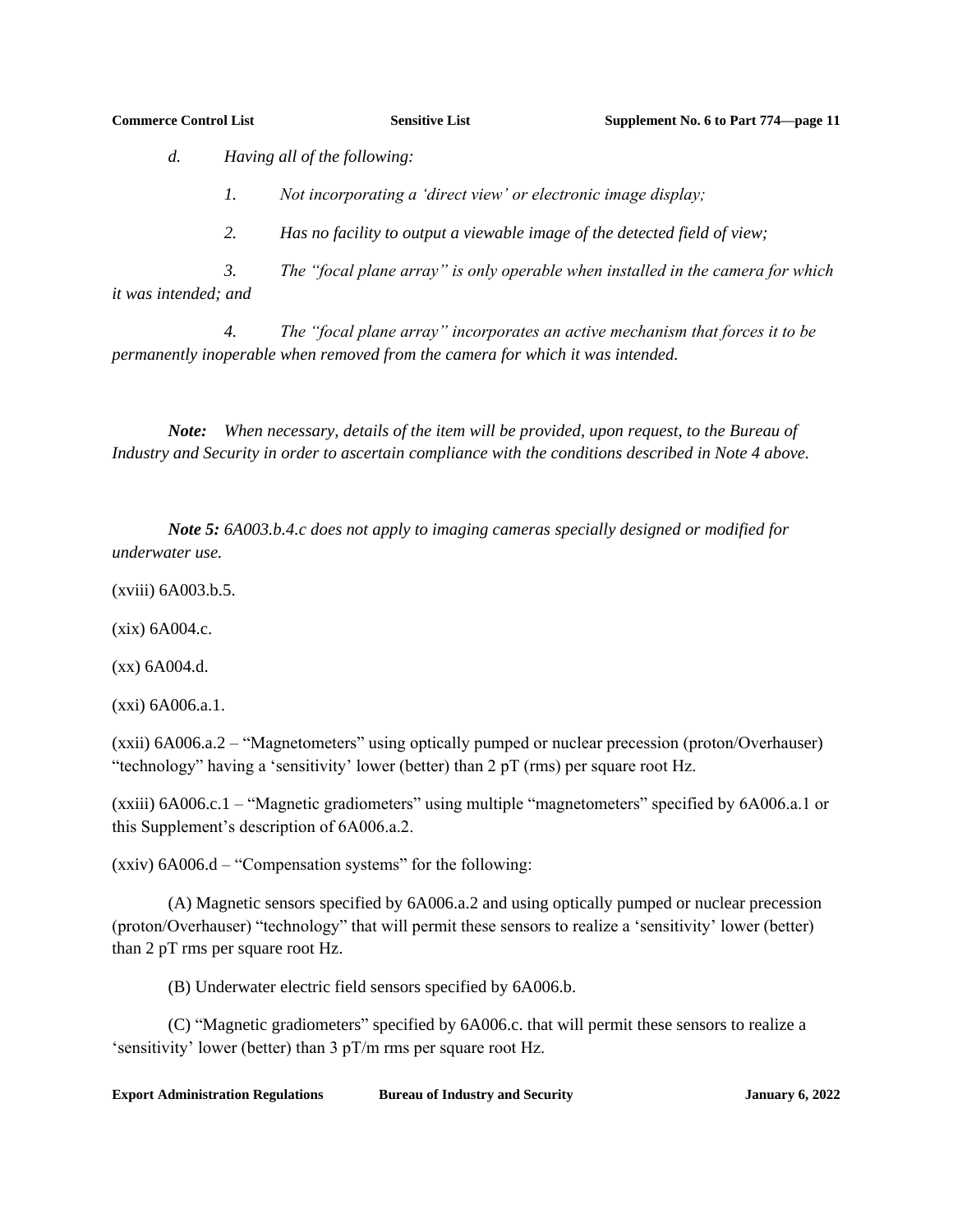*d. Having all of the following:*

*1. Not incorporating a 'direct view' or electronic image display;*

*2. Has no facility to output a viewable image of the detected field of view;*

*3. The "focal plane array" is only operable when installed in the camera for which it was intended; and*

*4. The "focal plane array" incorporates an active mechanism that forces it to be permanently inoperable when removed from the camera for which it was intended.*

*Note: When necessary, details of the item will be provided, upon request, to the Bureau of Industry and Security in order to ascertain compliance with the conditions described in Note 4 above.*

*Note 5: 6A003.b.4.c does not apply to imaging cameras specially designed or modified for underwater use.*

(xviii) 6A003.b.5.

(xix) 6A004.c.

(xx) 6A004.d.

(xxi) 6A006.a.1.

(xxii) 6A006.a.2 – "Magnetometers" using optically pumped or nuclear precession (proton/Overhauser) "technology" having a 'sensitivity' lower (better) than  $2 pT$  (rms) per square root Hz.

(xxiii) 6A006.c.1 – "Magnetic gradiometers" using multiple "magnetometers" specified by 6A006.a.1 or this Supplement's description of 6A006.a.2.

(xxiv) 6A006.d – "Compensation systems" for the following:

(A) Magnetic sensors specified by 6A006.a.2 and using optically pumped or nuclear precession (proton/Overhauser) "technology" that will permit these sensors to realize a 'sensitivity' lower (better) than 2 pT rms per square root Hz.

(B) Underwater electric field sensors specified by 6A006.b.

(C) "Magnetic gradiometers" specified by 6A006.c. that will permit these sensors to realize a 'sensitivity' lower (better) than 3 pT/m rms per square root Hz.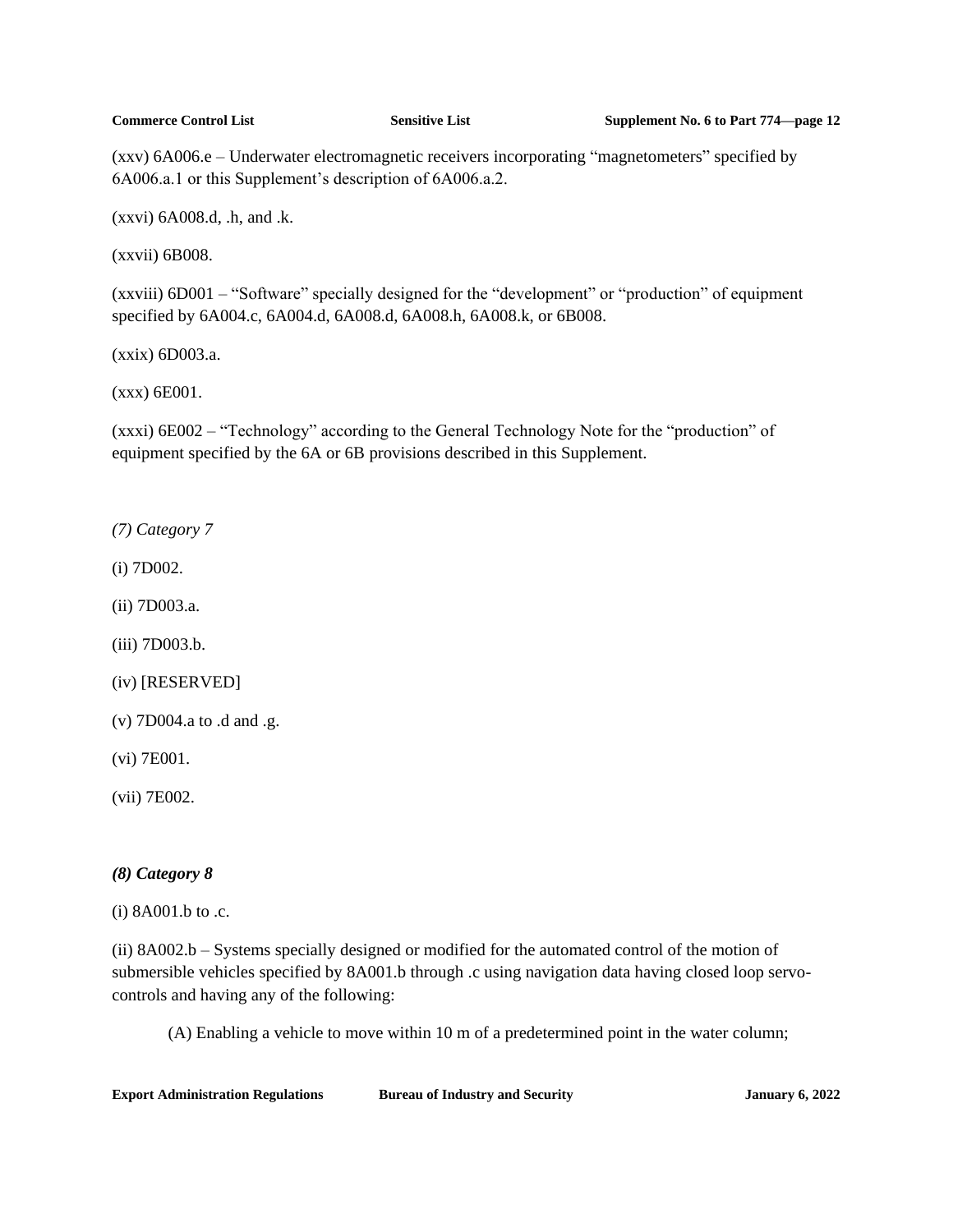(xxv) 6A006.e – Underwater electromagnetic receivers incorporating "magnetometers" specified by 6A006.a.1 or this Supplement's description of 6A006.a.2.

(xxvi) 6A008.d, .h, and .k.

(xxvii) 6B008.

(xxviii) 6D001 – "Software" specially designed for the "development" or "production" of equipment specified by 6A004.c, 6A004.d, 6A008.d, 6A008.h, 6A008.k, or 6B008.

(xxix) 6D003.a.

(xxx) 6E001.

(xxxi) 6E002 – "Technology" according to the General Technology Note for the "production" of equipment specified by the 6A or 6B provisions described in this Supplement.

*(7) Category 7*

(i) 7D002.

(ii) 7D003.a.

(iii) 7D003.b.

(iv) [RESERVED]

(v) 7D004.a to .d and .g.

(vi) 7E001.

(vii) 7E002.

## *(8) Category 8*

(i) 8A001.b to .c.

(ii) 8A002.b – Systems specially designed or modified for the automated control of the motion of submersible vehicles specified by 8A001.b through .c using navigation data having closed loop servocontrols and having any of the following:

(A) Enabling a vehicle to move within 10 m of a predetermined point in the water column;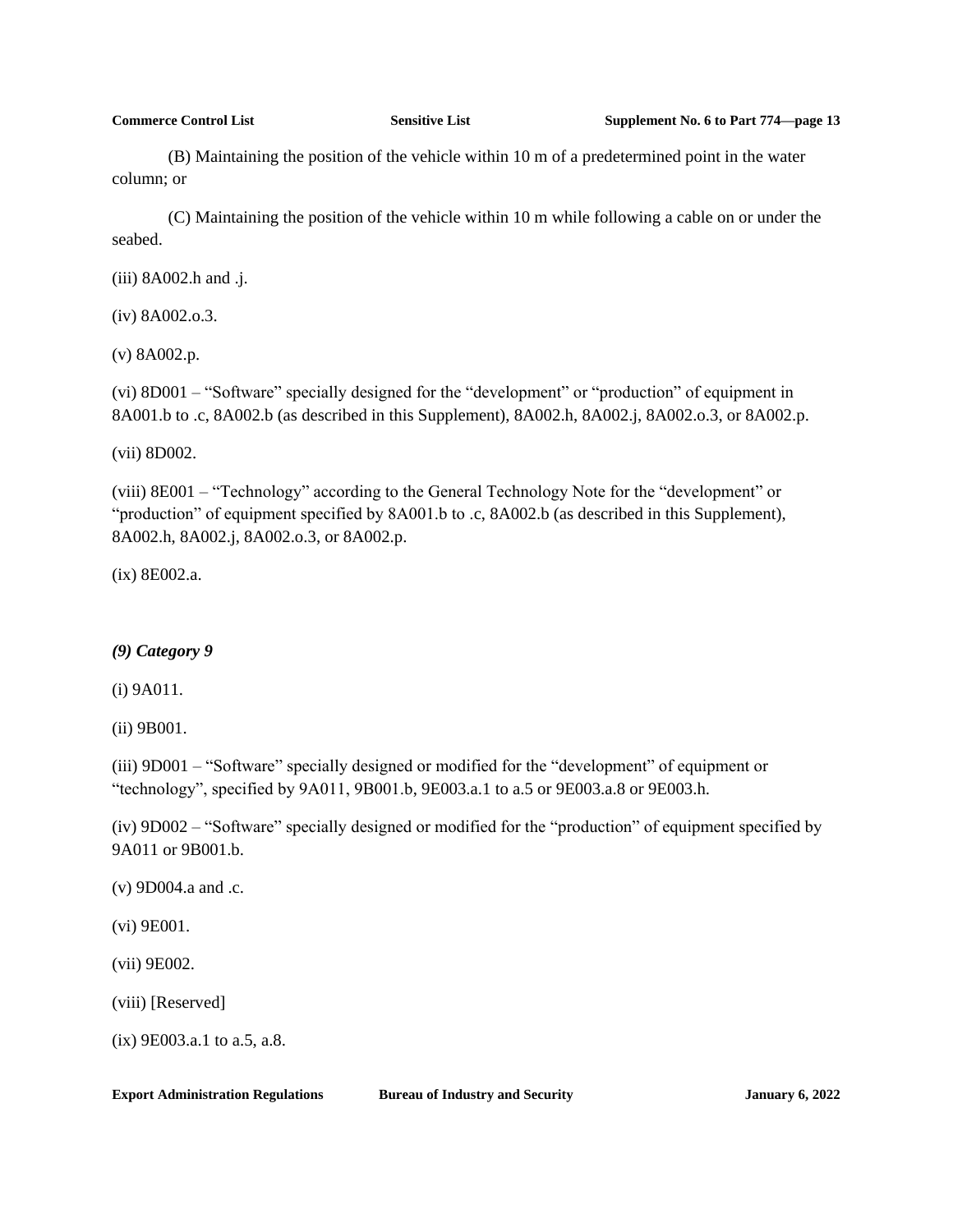(B) Maintaining the position of the vehicle within 10 m of a predetermined point in the water column; or

(C) Maintaining the position of the vehicle within 10 m while following a cable on or under the seabed.

(iii) 8A002.h and .j.

(iv) 8A002.o.3.

(v) 8A002.p.

(vi) 8D001 – "Software" specially designed for the "development" or "production" of equipment in 8A001.b to .c, 8A002.b (as described in this Supplement), 8A002.h, 8A002.j, 8A002.o.3, or 8A002.p.

(vii) 8D002.

(viii) 8E001 – "Technology" according to the General Technology Note for the "development" or "production" of equipment specified by 8A001.b to .c, 8A002.b (as described in this Supplement), 8A002.h, 8A002.j, 8A002.o.3, or 8A002.p.

(ix) 8E002.a.

## *(9) Category 9*

(i) 9A011.

(ii) 9B001.

(iii) 9D001 – "Software" specially designed or modified for the "development" of equipment or "technology", specified by 9A011, 9B001.b, 9E003.a.1 to a.5 or 9E003.a.8 or 9E003.h.

(iv) 9D002 – "Software" specially designed or modified for the "production" of equipment specified by 9A011 or 9B001.b.

(v) 9D004.a and .c.

(vi) 9E001.

(vii) 9E002.

(viii) [Reserved]

(ix) 9E003.a.1 to a.5, a.8.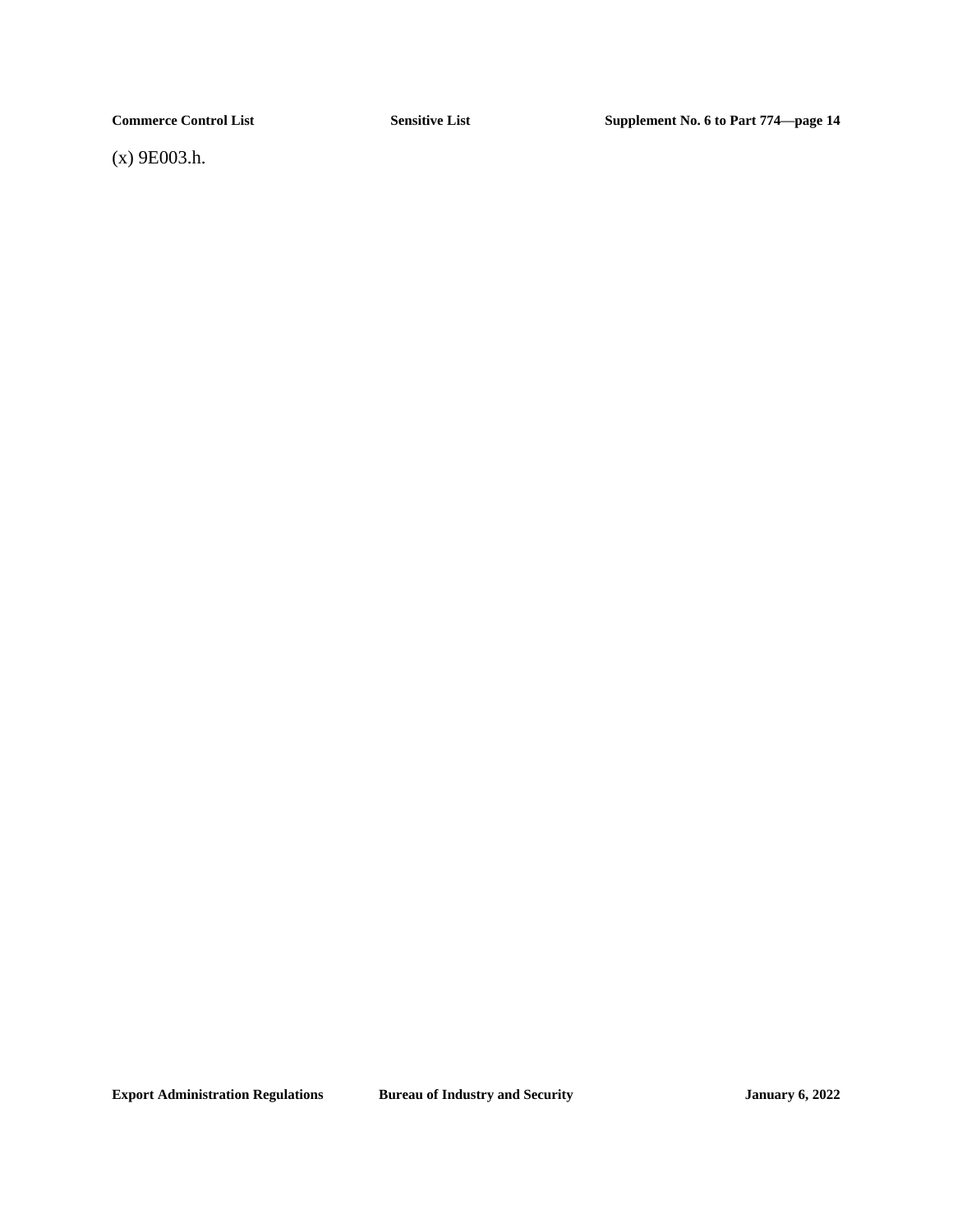(x) 9E003.h.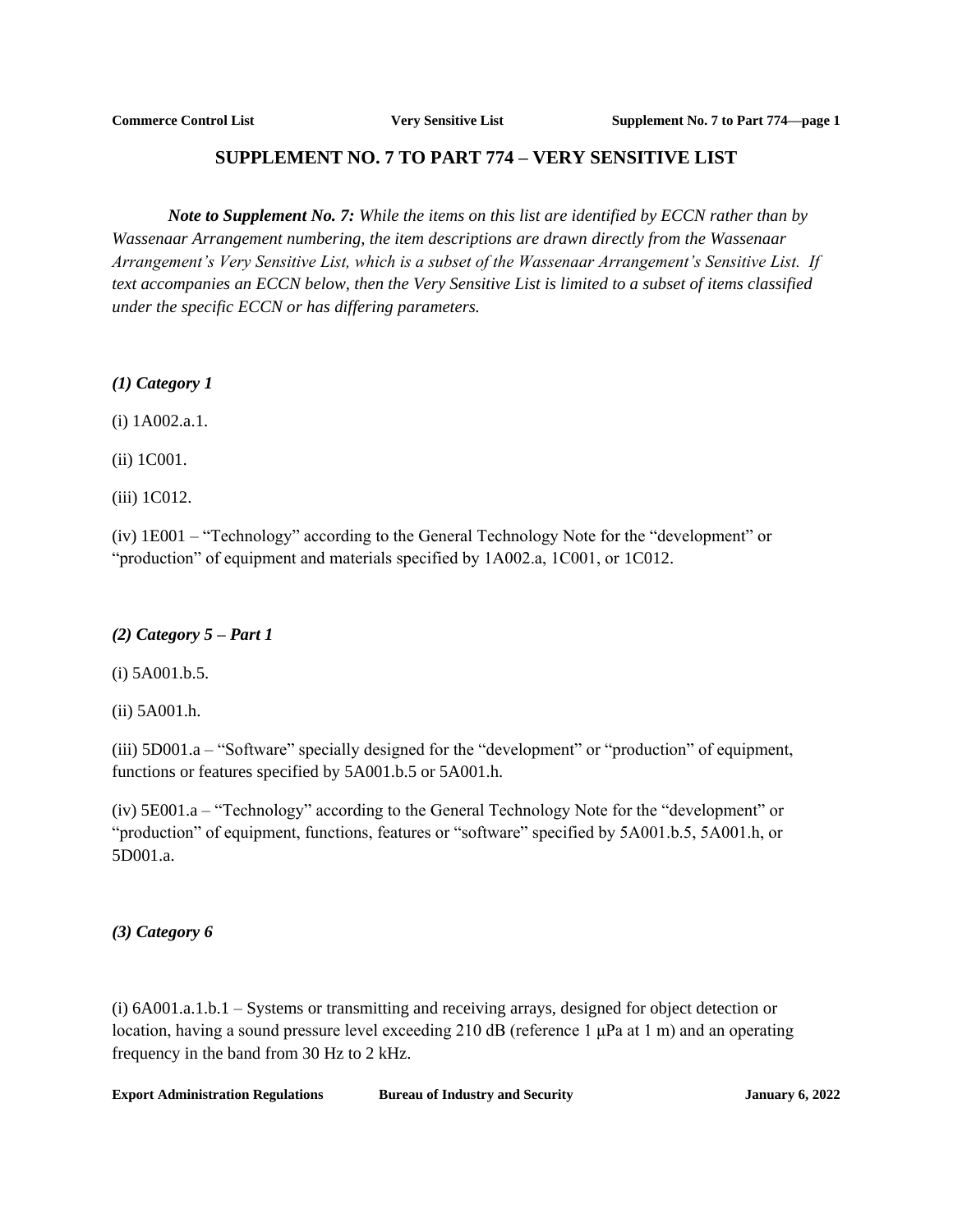# **SUPPLEMENT NO. 7 TO PART 774 – VERY SENSITIVE LIST**

<span id="page-25-0"></span>*Note to Supplement No. 7: While the items on this list are identified by ECCN rather than by Wassenaar Arrangement numbering, the item descriptions are drawn directly from the Wassenaar Arrangement's Very Sensitive List, which is a subset of the Wassenaar Arrangement's Sensitive List. If text accompanies an ECCN below, then the Very Sensitive List is limited to a subset of items classified under the specific ECCN or has differing parameters.*

*(1) Category 1*

(i) 1A002.a.1.

(ii) 1C001.

(iii) 1C012.

(iv) 1E001 – "Technology" according to the General Technology Note for the "development" or "production" of equipment and materials specified by 1A002.a, 1C001, or 1C012.

### *(2) Category 5 – Part 1*

(i) 5A001.b.5.

(ii) 5A001.h.

(iii) 5D001.a – "Software" specially designed for the "development" or "production" of equipment, functions or features specified by 5A001.b.5 or 5A001.h.

(iv) 5E001.a – "Technology" according to the General Technology Note for the "development" or "production" of equipment, functions, features or "software" specified by 5A001.b.5, 5A001.h, or 5D001.a.

### *(3) Category 6*

(i) 6A001.a.1.b.1 – Systems or transmitting and receiving arrays, designed for object detection or location, having a sound pressure level exceeding 210 dB (reference 1 μPa at 1 m) and an operating frequency in the band from 30 Hz to 2 kHz.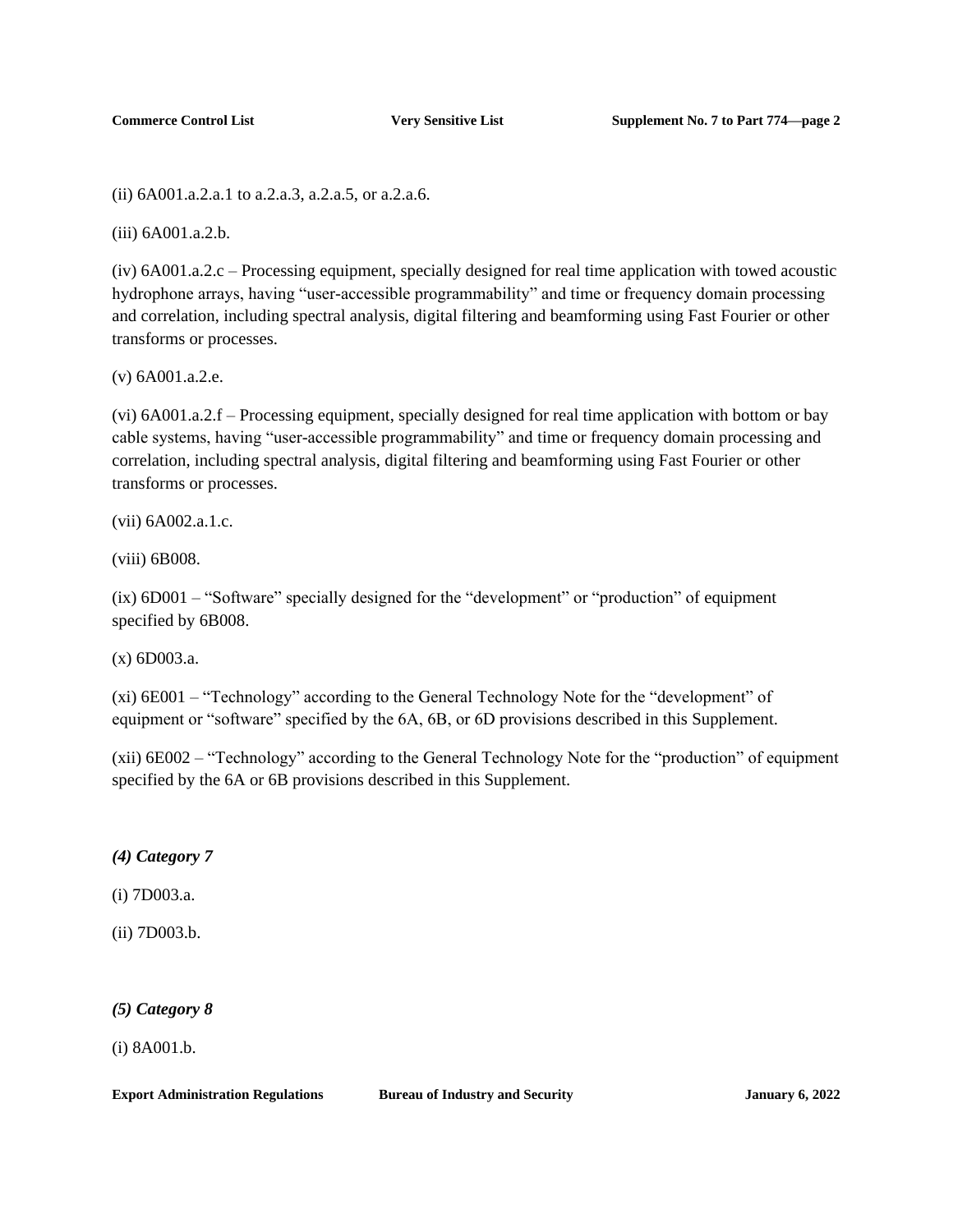(ii) 6A001.a.2.a.1 to a.2.a.3, a.2.a.5, or a.2.a.6.

(iii) 6A001.a.2.b.

(iv) 6A001.a.2.c – Processing equipment, specially designed for real time application with towed acoustic hydrophone arrays, having "user-accessible programmability" and time or frequency domain processing and correlation, including spectral analysis, digital filtering and beamforming using Fast Fourier or other transforms or processes.

(v) 6A001.a.2.e.

(vi) 6A001.a.2.f – Processing equipment, specially designed for real time application with bottom or bay cable systems, having "user-accessible programmability" and time or frequency domain processing and correlation, including spectral analysis, digital filtering and beamforming using Fast Fourier or other transforms or processes.

(vii) 6A002.a.1.c.

(viii) 6B008.

(ix) 6D001 – "Software" specially designed for the "development" or "production" of equipment specified by 6B008.

(x) 6D003.a.

(xi) 6E001 – "Technology" according to the General Technology Note for the "development" of equipment or "software" specified by the 6A, 6B, or 6D provisions described in this Supplement.

(xii) 6E002 – "Technology" according to the General Technology Note for the "production" of equipment specified by the 6A or 6B provisions described in this Supplement.

*(4) Category 7*

(i) 7D003.a.

(ii) 7D003.b.

*(5) Category 8*

(i) 8A001.b.